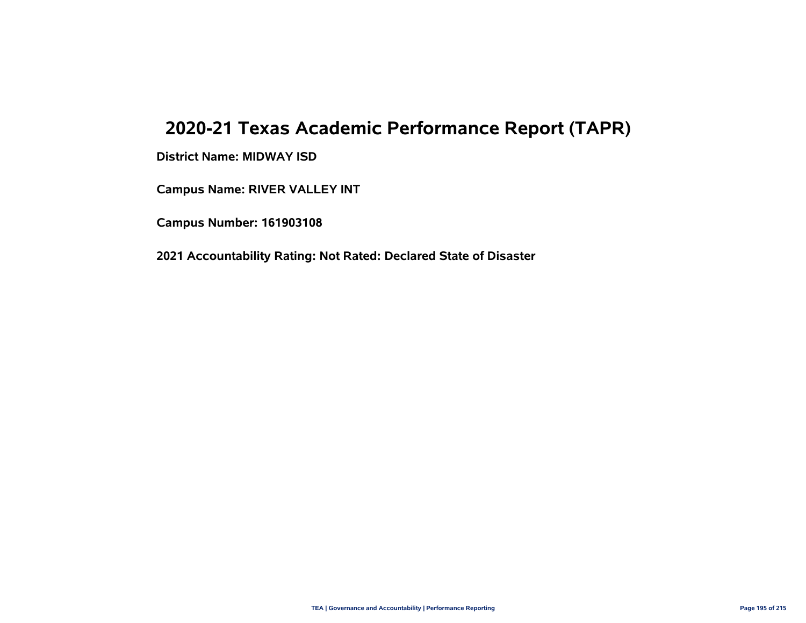# **2020-21 Texas Academic Performance Report (TAPR)**

**District Name: MIDWAY ISD**

**Campus Name: RIVER VALLEY INT**

**Campus Number: 161903108**

**2021 Accountability Rating: Not Rated: Declared State of Disaster**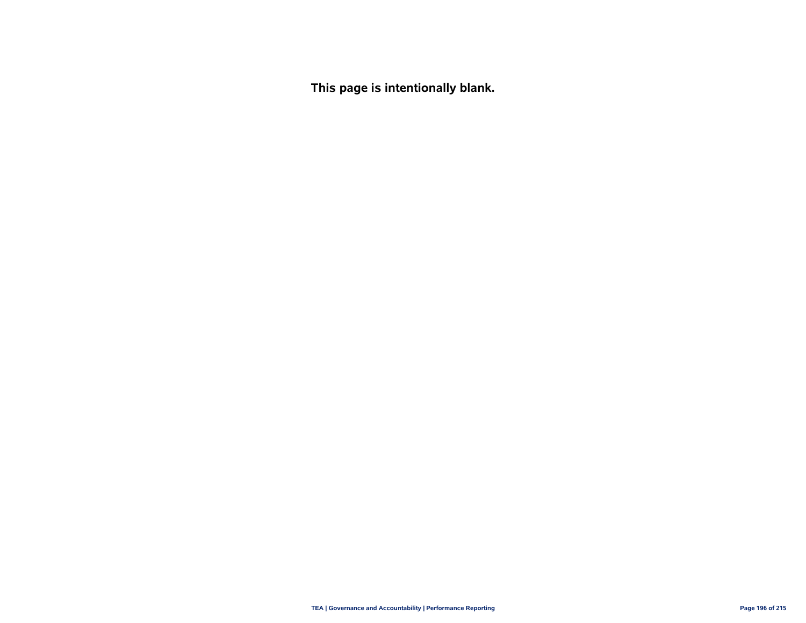**This page is intentionally blank.**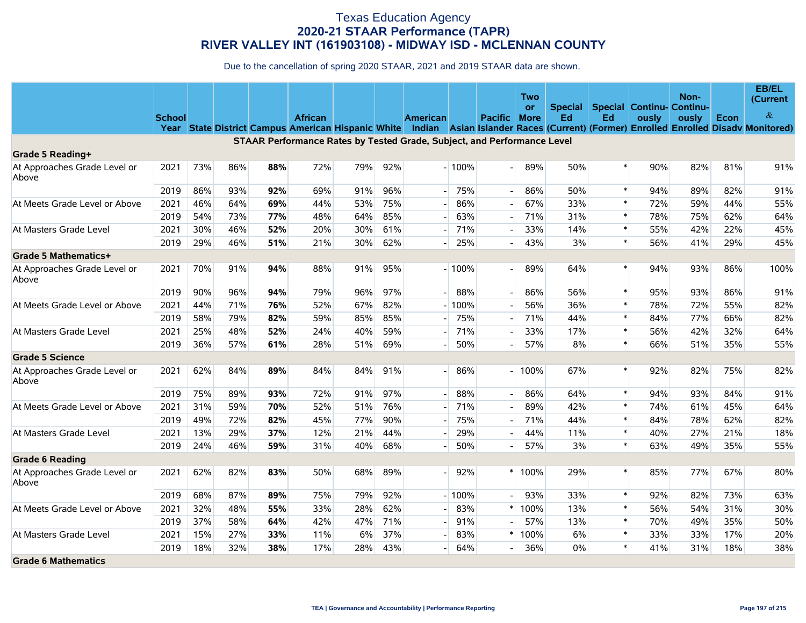# Texas Education Agency **2020-21 STAAR Performance (TAPR) RIVER VALLEY INT (161903108) - MIDWAY ISD - MCLENNAN COUNTY**

Due to the cancellation of spring 2020 STAAR, 2021 and 2019 STAAR data are shown.

|                                       |               |     |     |     |                                                                         |     |     |                 |         |                          | Two         |                |              |                                  | Non-  |      | EB/EL<br>(Current                                                                                                                     |
|---------------------------------------|---------------|-----|-----|-----|-------------------------------------------------------------------------|-----|-----|-----------------|---------|--------------------------|-------------|----------------|--------------|----------------------------------|-------|------|---------------------------------------------------------------------------------------------------------------------------------------|
|                                       |               |     |     |     |                                                                         |     |     |                 |         |                          | or          | <b>Special</b> |              | <b>Special Continu- Continu-</b> |       |      | $\&$                                                                                                                                  |
|                                       | <b>School</b> |     |     |     | <b>African</b>                                                          |     |     | <b>American</b> |         | Pacific                  | <b>More</b> | Ed             | Ed           | ously                            | ously | Econ | Year State District Campus American Hispanic White Indian Asian Islander Races (Current) (Former) Enrolled Enrolled Disady Monitored) |
|                                       |               |     |     |     | STAAR Performance Rates by Tested Grade, Subject, and Performance Level |     |     |                 |         |                          |             |                |              |                                  |       |      |                                                                                                                                       |
| Grade 5 Reading+                      |               |     |     |     |                                                                         |     |     |                 |         |                          |             |                |              |                                  |       |      |                                                                                                                                       |
| At Approaches Grade Level or<br>Above | 2021          | 73% | 86% | 88% | 72%                                                                     | 79% | 92% |                 | $-100%$ |                          | 89%         | 50%            | $\ast$       | 90%                              | 82%   | 81%  | 91%                                                                                                                                   |
|                                       | 2019          | 86% | 93% | 92% | 69%                                                                     | 91% | 96% |                 | 75%     | $\sim$                   | 86%         | 50%            | $\ast$       | 94%                              | 89%   | 82%  | 91%                                                                                                                                   |
| At Meets Grade Level or Above         | 2021          | 46% | 64% | 69% | 44%                                                                     | 53% | 75% |                 | 86%     | $\overline{a}$           | 67%         | 33%            | $\ast$       | 72%                              | 59%   | 44%  | 55%                                                                                                                                   |
|                                       | 2019          | 54% | 73% | 77% | 48%                                                                     | 64% | 85% |                 | 63%     | $\sim$                   | 71%         | 31%            | $\ast$       | 78%                              | 75%   | 62%  | 64%                                                                                                                                   |
| At Masters Grade Level                | 2021          | 30% | 46% | 52% | 20%                                                                     | 30% | 61% |                 | 71%     | $\overline{\phantom{a}}$ | 33%         | 14%            | $\pmb{\ast}$ | 55%                              | 42%   | 22%  | 45%                                                                                                                                   |
|                                       | 2019          | 29% | 46% | 51% | 21%                                                                     | 30% | 62% |                 | 25%     |                          | 43%         | 3%             | $\ast$       | 56%                              | 41%   | 29%  | 45%                                                                                                                                   |
| <b>Grade 5 Mathematics+</b>           |               |     |     |     |                                                                         |     |     |                 |         |                          |             |                |              |                                  |       |      |                                                                                                                                       |
| At Approaches Grade Level or<br>Above | 2021          | 70% | 91% | 94% | 88%                                                                     | 91% | 95% |                 | $-100%$ |                          | 89%         | 64%            | $\ast$       | 94%                              | 93%   | 86%  | 100%                                                                                                                                  |
|                                       | 2019          | 90% | 96% | 94% | 79%                                                                     | 96% | 97% |                 | 88%     |                          | 86%         | 56%            | $\ast$       | 95%                              | 93%   | 86%  | 91%                                                                                                                                   |
| At Meets Grade Level or Above         | 2021          | 44% | 71% | 76% | 52%                                                                     | 67% | 82% |                 | $-100%$ |                          | 56%         | 36%            | $\ast$       | 78%                              | 72%   | 55%  | 82%                                                                                                                                   |
|                                       | 2019          | 58% | 79% | 82% | 59%                                                                     | 85% | 85% |                 | 75%     |                          | 71%         | 44%            | $\ast$       | 84%                              | 77%   | 66%  | 82%                                                                                                                                   |
| At Masters Grade Level                | 2021          | 25% | 48% | 52% | 24%                                                                     | 40% | 59% |                 | 71%     |                          | 33%         | 17%            | $\ast$       | 56%                              | 42%   | 32%  | 64%                                                                                                                                   |
|                                       | 2019          | 36% | 57% | 61% | 28%                                                                     | 51% | 69% |                 | 50%     |                          | 57%         | 8%             | $\ast$       | 66%                              | 51%   | 35%  | 55%                                                                                                                                   |
| <b>Grade 5 Science</b>                |               |     |     |     |                                                                         |     |     |                 |         |                          |             |                |              |                                  |       |      |                                                                                                                                       |
| At Approaches Grade Level or<br>Above | 2021          | 62% | 84% | 89% | 84%                                                                     | 84% | 91% | الد             | 86%     |                          | $-100%$     | 67%            | $\ast$       | 92%                              | 82%   | 75%  | 82%                                                                                                                                   |
|                                       | 2019          | 75% | 89% | 93% | 72%                                                                     | 91% | 97% |                 | 88%     |                          | 86%         | 64%            | $\ast$       | 94%                              | 93%   | 84%  | 91%                                                                                                                                   |
| At Meets Grade Level or Above         | 2021          | 31% | 59% | 70% | 52%                                                                     | 51% | 76% |                 | 71%     |                          | 89%         | 42%            | $\ast$       | 74%                              | 61%   | 45%  | 64%                                                                                                                                   |
|                                       | 2019          | 49% | 72% | 82% | 45%                                                                     | 77% | 90% |                 | 75%     | $\overline{\phantom{a}}$ | 71%         | 44%            | $\ast$       | 84%                              | 78%   | 62%  | 82%                                                                                                                                   |
| At Masters Grade Level                | 2021          | 13% | 29% | 37% | 12%                                                                     | 21% | 44% |                 | 29%     | $\overline{a}$           | 44%         | 11%            | $\ast$       | 40%                              | 27%   | 21%  | 18%                                                                                                                                   |
|                                       | 2019          | 24% | 46% | 59% | 31%                                                                     | 40% | 68% |                 | 50%     | $\blacksquare$           | 57%         | 3%             | $\ast$       | 63%                              | 49%   | 35%  | 55%                                                                                                                                   |
| <b>Grade 6 Reading</b>                |               |     |     |     |                                                                         |     |     |                 |         |                          |             |                |              |                                  |       |      |                                                                                                                                       |
| At Approaches Grade Level or<br>Above | 2021          | 62% | 82% | 83% | 50%                                                                     | 68% | 89% |                 | 92%     | $\ast$                   | 100%        | 29%            | $\ast$       | 85%                              | 77%   | 67%  | 80%                                                                                                                                   |
|                                       | 2019          | 68% | 87% | 89% | 75%                                                                     | 79% | 92% |                 | $-100%$ |                          | 93%         | 33%            | $\ast$       | 92%                              | 82%   | 73%  | 63%                                                                                                                                   |
| At Meets Grade Level or Above         | 2021          | 32% | 48% | 55% | 33%                                                                     | 28% | 62% |                 | 83%     | $\ast$                   | 100%        | 13%            | $\ast$       | 56%                              | 54%   | 31%  | 30%                                                                                                                                   |
|                                       | 2019          | 37% | 58% | 64% | 42%                                                                     | 47% | 71% |                 | 91%     |                          | 57%         | 13%            | $\ast$       | 70%                              | 49%   | 35%  | 50%                                                                                                                                   |
| At Masters Grade Level                | 2021          | 15% | 27% | 33% | 11%                                                                     | 6%  | 37% |                 | 83%     | $\ast$                   | 100%        | 6%             | $\ast$       | 33%                              | 33%   | 17%  | 20%                                                                                                                                   |
|                                       | 2019          | 18% | 32% | 38% | 17%                                                                     | 28% | 43% |                 | 64%     |                          | 36%         | $0\%$          | $\ast$       | 41%                              | 31%   | 18%  | 38%                                                                                                                                   |
| <b>Grade 6 Mathematics</b>            |               |     |     |     |                                                                         |     |     |                 |         |                          |             |                |              |                                  |       |      |                                                                                                                                       |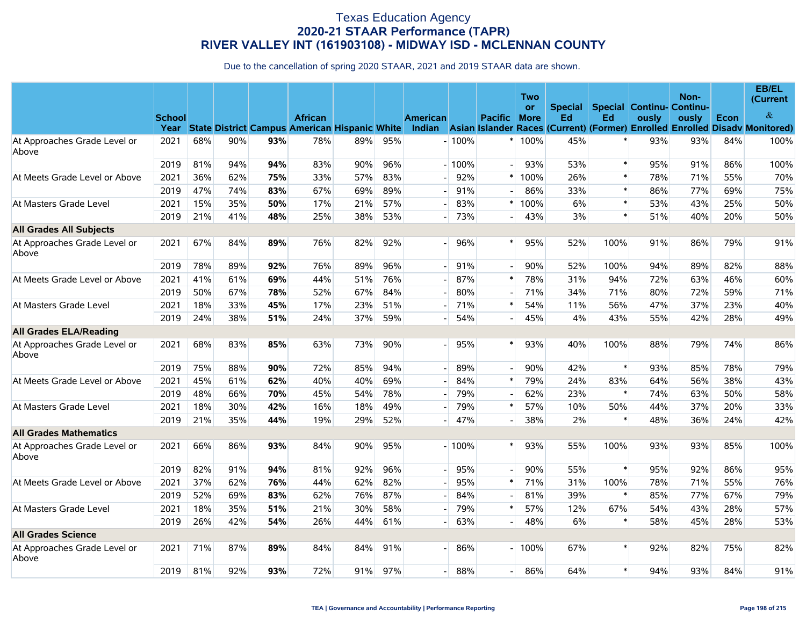# Texas Education Agency **2020-21 STAAR Performance (TAPR) RIVER VALLEY INT (161903108) - MIDWAY ISD - MCLENNAN COUNTY**

Due to the cancellation of spring 2020 STAAR, 2021 and 2019 STAAR data are shown.

|                                       |               |     |     |     |                                               |     |     |                          |         |                          | <b>Two</b>               |                      |              |                                           | Non-  |      | EB/EL<br>(Current                                                                  |
|---------------------------------------|---------------|-----|-----|-----|-----------------------------------------------|-----|-----|--------------------------|---------|--------------------------|--------------------------|----------------------|--------------|-------------------------------------------|-------|------|------------------------------------------------------------------------------------|
|                                       | <b>School</b> |     |     |     | <b>African</b>                                |     |     | <b>American</b>          |         | <b>Pacific</b>           | <b>or</b><br><b>More</b> | <b>Special</b><br>Ed | Ed           | <b>Special Continu- Continu-</b><br>ously | ously | Econ | $\&$                                                                               |
|                                       | Year          |     |     |     | State District Campus American Hispanic White |     |     |                          |         |                          |                          |                      |              |                                           |       |      | Indian Asian Islander Races (Current) (Former) Enrolled Enrolled Disady Monitored) |
| At Approaches Grade Level or<br>Above | 2021          | 68% | 90% | 93% | 78%                                           | 89% | 95% |                          | $-100%$ | $\ast$                   | 100%                     | 45%                  |              | 93%                                       | 93%   | 84%  | 100%                                                                               |
|                                       | 2019          | 81% | 94% | 94% | 83%                                           | 90% | 96% |                          | $-100%$ |                          | 93%                      | 53%                  | $\ast$       | 95%                                       | 91%   | 86%  | 100%                                                                               |
| At Meets Grade Level or Above         | 2021          | 36% | 62% | 75% | 33%                                           | 57% | 83% |                          | 92%     | *                        | 100%                     | 26%                  | $\ast$       | 78%                                       | 71%   | 55%  | 70%                                                                                |
|                                       | 2019          | 47% | 74% | 83% | 67%                                           | 69% | 89% |                          | 91%     |                          | 86%                      | 33%                  | $\ast$       | 86%                                       | 77%   | 69%  | 75%                                                                                |
| At Masters Grade Level                | 2021          | 15% | 35% | 50% | 17%                                           | 21% | 57% |                          | 83%     | $\ast$                   | 100%                     | 6%                   | $\ast$       | 53%                                       | 43%   | 25%  | 50%                                                                                |
|                                       | 2019          | 21% | 41% | 48% | 25%                                           | 38% | 53% |                          | 73%     |                          | 43%                      | 3%                   | $\ast$       | 51%                                       | 40%   | 20%  | 50%                                                                                |
| <b>All Grades All Subjects</b>        |               |     |     |     |                                               |     |     |                          |         |                          |                          |                      |              |                                           |       |      |                                                                                    |
| At Approaches Grade Level or<br>Above | 2021          | 67% | 84% | 89% | 76%                                           | 82% | 92% | $\overline{\phantom{a}}$ | 96%     | ∗                        | 95%                      | 52%                  | 100%         | 91%                                       | 86%   | 79%  | 91%                                                                                |
|                                       | 2019          | 78% | 89% | 92% | 76%                                           | 89% | 96% | $\overline{a}$           | 91%     |                          | 90%                      | 52%                  | 100%         | 94%                                       | 89%   | 82%  | 88%                                                                                |
| At Meets Grade Level or Above         | 2021          | 41% | 61% | 69% | 44%                                           | 51% | 76% |                          | 87%     | $\ast$                   | 78%                      | 31%                  | 94%          | 72%                                       | 63%   | 46%  | 60%                                                                                |
|                                       | 2019          | 50% | 67% | 78% | 52%                                           | 67% | 84% |                          | 80%     |                          | 71%                      | 34%                  | 71%          | 80%                                       | 72%   | 59%  | 71%                                                                                |
| At Masters Grade Level                | 2021          | 18% | 33% | 45% | 17%                                           | 23% | 51% |                          | 71%     | $\ast$                   | 54%                      | 11%                  | 56%          | 47%                                       | 37%   | 23%  | 40%                                                                                |
|                                       | 2019          | 24% | 38% | 51% | 24%                                           | 37% | 59% |                          | 54%     |                          | 45%                      | 4%                   | 43%          | 55%                                       | 42%   | 28%  | 49%                                                                                |
| <b>All Grades ELA/Reading</b>         |               |     |     |     |                                               |     |     |                          |         |                          |                          |                      |              |                                           |       |      |                                                                                    |
| At Approaches Grade Level or<br>Above | 2021          | 68% | 83% | 85% | 63%                                           | 73% | 90% | $\overline{\phantom{a}}$ | 95%     | $\ast$                   | 93%                      | 40%                  | 100%         | 88%                                       | 79%   | 74%  | 86%                                                                                |
|                                       | 2019          | 75% | 88% | 90% | 72%                                           | 85% | 94% | $\overline{\phantom{a}}$ | 89%     | $\overline{a}$           | 90%                      | 42%                  | $\ast$       | 93%                                       | 85%   | 78%  | 79%                                                                                |
| At Meets Grade Level or Above         | 2021          | 45% | 61% | 62% | 40%                                           | 40% | 69% |                          | 84%     | $\ast$                   | 79%                      | 24%                  | 83%          | 64%                                       | 56%   | 38%  | 43%                                                                                |
|                                       | 2019          | 48% | 66% | 70% | 45%                                           | 54% | 78% |                          | 79%     | $\overline{a}$           | 62%                      | 23%                  | $\pmb{\ast}$ | 74%                                       | 63%   | 50%  | 58%                                                                                |
| At Masters Grade Level                | 2021          | 18% | 30% | 42% | 16%                                           | 18% | 49% |                          | 79%     | $\ast$                   | 57%                      | 10%                  | 50%          | 44%                                       | 37%   | 20%  | 33%                                                                                |
|                                       | 2019          | 21% | 35% | 44% | 19%                                           | 29% | 52% |                          | 47%     | $\overline{\phantom{a}}$ | 38%                      | 2%                   | $\pmb{\ast}$ | 48%                                       | 36%   | 24%  | 42%                                                                                |
| <b>All Grades Mathematics</b>         |               |     |     |     |                                               |     |     |                          |         |                          |                          |                      |              |                                           |       |      |                                                                                    |
| At Approaches Grade Level or<br>Above | 2021          | 66% | 86% | 93% | 84%                                           | 90% | 95% |                          | $-100%$ | $\ast$                   | 93%                      | 55%                  | 100%         | 93%                                       | 93%   | 85%  | 100%                                                                               |
|                                       | 2019          | 82% | 91% | 94% | 81%                                           | 92% | 96% |                          | 95%     |                          | 90%                      | 55%                  | $\ast$       | 95%                                       | 92%   | 86%  | 95%                                                                                |
| At Meets Grade Level or Above         | 2021          | 37% | 62% | 76% | 44%                                           | 62% | 82% |                          | 95%     | $\ast$                   | 71%                      | 31%                  | 100%         | 78%                                       | 71%   | 55%  | 76%                                                                                |
|                                       | 2019          | 52% | 69% | 83% | 62%                                           | 76% | 87% |                          | 84%     |                          | 81%                      | 39%                  | $\ast$       | 85%                                       | 77%   | 67%  | 79%                                                                                |
| At Masters Grade Level                | 2021          | 18% | 35% | 51% | 21%                                           | 30% | 58% |                          | 79%     | $\ast$                   | 57%                      | 12%                  | 67%          | 54%                                       | 43%   | 28%  | 57%                                                                                |
|                                       | 2019          | 26% | 42% | 54% | 26%                                           | 44% | 61% |                          | 63%     |                          | 48%                      | 6%                   | $\ast$       | 58%                                       | 45%   | 28%  | 53%                                                                                |
| <b>All Grades Science</b>             |               |     |     |     |                                               |     |     |                          |         |                          |                          |                      |              |                                           |       |      |                                                                                    |
| At Approaches Grade Level or<br>Above | 2021          | 71% | 87% | 89% | 84%                                           | 84% | 91% | $\overline{a}$           | 86%     |                          | $-100%$                  | 67%                  | $\ast$       | 92%                                       | 82%   | 75%  | 82%                                                                                |
|                                       | 2019          | 81% | 92% | 93% | 72%                                           | 91% | 97% |                          | 88%     |                          | 86%                      | 64%                  | $\ast$       | 94%                                       | 93%   | 84%  | 91%                                                                                |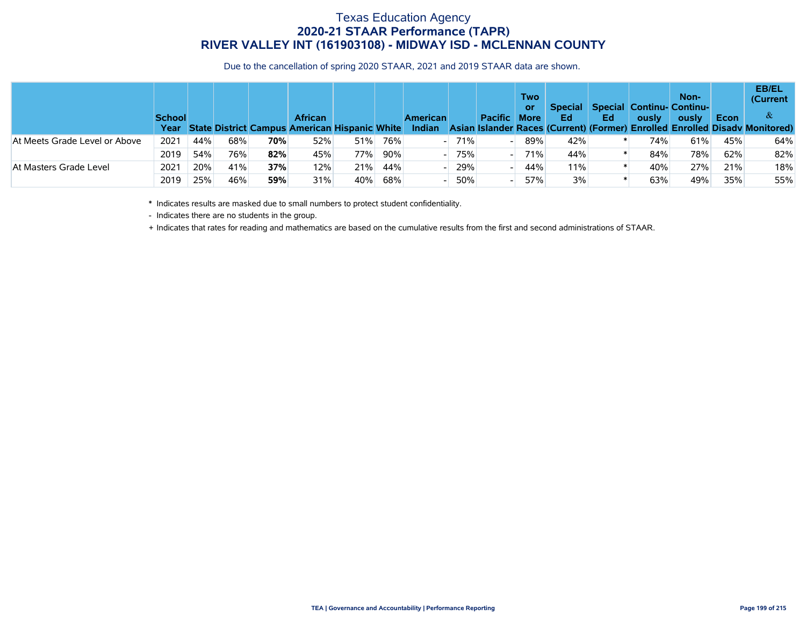# Texas Education Agency **2020-21 STAAR Performance (TAPR) RIVER VALLEY INT (161903108) - MIDWAY ISD - MCLENNAN COUNTY**

Due to the cancellation of spring 2020 STAAR, 2021 and 2019 STAAR data are shown.

|                               | <b>School</b><br>Year |     |     |     | <b>African</b><br><b>State District Campus American Hispanic White</b> |     |        | <b>American</b><br><b>Indian</b> |     | <b>Pacific More</b> | Two<br>or | <b>Special</b><br>Ed | Ed | ously | Non-<br><b>Special Continu- Continu-</b><br>ously | Econ | <b>EB/EL</b><br>(Current<br>$\alpha$<br>Asian Islander Races (Current) (Former) Enrolled Enrolled Disady Monitored) |
|-------------------------------|-----------------------|-----|-----|-----|------------------------------------------------------------------------|-----|--------|----------------------------------|-----|---------------------|-----------|----------------------|----|-------|---------------------------------------------------|------|---------------------------------------------------------------------------------------------------------------------|
| At Meets Grade Level or Above | 2021                  | 44% | 68% | 70% | 52%                                                                    | 51% | 76%    |                                  | 71% |                     | 89%       | 42%                  |    | 74%   | 61%                                               | 45%  | 64%                                                                                                                 |
|                               | 2019                  | 54% | 76% | 82% | 45%                                                                    | 77% | $90\%$ |                                  | 75% |                     | 71%       | 44%                  |    | 84%   | 78%                                               | 62%  | 82%                                                                                                                 |
| At Masters Grade Level        | 2021                  | 20% | 41% | 37% | 12%                                                                    | 21% | 44%    |                                  | 29% |                     | 44%       | 11%                  |    | 40%   | 27%                                               | 21%  | 18%                                                                                                                 |
|                               | 2019                  | 25% | 46% | 59% | 31%                                                                    | 40% | 68%    |                                  | 50% |                     | 57%       | 3%                   |    | 63%   | 49%                                               | 35%  | 55%                                                                                                                 |

\* Indicates results are masked due to small numbers to protect student confidentiality.

- Indicates there are no students in the group.

+ Indicates that rates for reading and mathematics are based on the cumulative results from the first and second administrations of STAAR.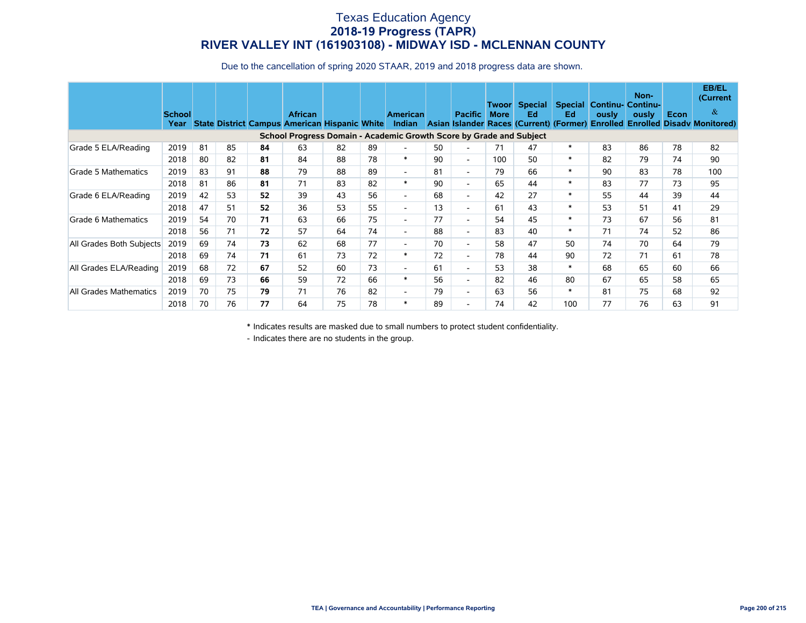## Texas Education Agency **2018-19 Progress (TAPR) RIVER VALLEY INT (161903108) - MIDWAY ISD - MCLENNAN COUNTY**

Due to the cancellation of spring 2020 STAAR, 2019 and 2018 progress data are shown.

|                          | <b>School</b><br>Year |    |    |    | <b>African</b><br><b>State District Campus American Hispanic White</b> |    |    | <b>American</b><br><b>Indian</b> |    | <b>Pacific</b>           | <b>Twoor</b><br><b>More</b> | Special  <br>Ed<br>Asian Islander Races (Current) (Former) | Ed.    | ously | Non-<br><b>Special Continu- Continu-</b><br>ously | Econ | <b>EB/EL</b><br>(Current<br>$\&$<br><b>Enrolled Enrolled Disady Monitored)</b> |
|--------------------------|-----------------------|----|----|----|------------------------------------------------------------------------|----|----|----------------------------------|----|--------------------------|-----------------------------|------------------------------------------------------------|--------|-------|---------------------------------------------------|------|--------------------------------------------------------------------------------|
|                          |                       |    |    |    | School Progress Domain - Academic Growth Score by Grade and Subject    |    |    |                                  |    |                          |                             |                                                            |        |       |                                                   |      |                                                                                |
| Grade 5 ELA/Reading      | 2019                  | 81 | 85 | 84 | 63                                                                     | 82 | 89 | $\overline{\phantom{a}}$         | 50 | $\overline{\phantom{0}}$ | 71                          | 47                                                         | $\ast$ | 83    | 86                                                | 78   | 82                                                                             |
|                          | 2018                  | 80 | 82 | 81 | 84                                                                     | 88 | 78 | $\ast$                           | 90 | $\overline{\phantom{a}}$ | 100                         | 50                                                         | $\ast$ | 82    | 79                                                | 74   | 90                                                                             |
| Grade 5 Mathematics      | 2019                  | 83 | 91 | 88 | 79                                                                     | 88 | 89 | $\overline{\phantom{a}}$         | 81 | $\overline{\phantom{a}}$ | 79                          | 66                                                         | $\ast$ | 90    | 83                                                | 78   | 100                                                                            |
|                          | 2018                  | 81 | 86 | 81 | 71                                                                     | 83 | 82 | $\ast$                           | 90 | $\overline{\phantom{a}}$ | 65                          | 44                                                         | $\ast$ | 83    | 77                                                | 73   | 95                                                                             |
| Grade 6 ELA/Reading      | 2019                  | 42 | 53 | 52 | 39                                                                     | 43 | 56 | $\overline{\phantom{a}}$         | 68 | $\overline{\phantom{a}}$ | 42                          | 27                                                         | $\ast$ | 55    | 44                                                | 39   | 44                                                                             |
|                          | 2018                  | 47 | 51 | 52 | 36                                                                     | 53 | 55 | $\overline{\phantom{a}}$         | 13 | $\overline{\phantom{a}}$ | 61                          | 43                                                         | $\ast$ | 53    | 51                                                | 41   | 29                                                                             |
| Grade 6 Mathematics      | 2019                  | 54 | 70 | 71 | 63                                                                     | 66 | 75 | $\overline{\phantom{a}}$         | 77 | $\overline{\phantom{a}}$ | 54                          | 45                                                         | $\ast$ | 73    | 67                                                | 56   | 81                                                                             |
|                          | 2018                  | 56 | 71 | 72 | 57                                                                     | 64 | 74 | $\overline{\phantom{a}}$         | 88 | $\overline{\phantom{a}}$ | 83                          | 40                                                         | $\ast$ | 71    | 74                                                | 52   | 86                                                                             |
| All Grades Both Subjects | 2019                  | 69 | 74 | 73 | 62                                                                     | 68 | 77 | $\overline{\phantom{a}}$         | 70 | $\overline{\phantom{a}}$ | 58                          | 47                                                         | 50     | 74    | 70                                                | 64   | 79                                                                             |
|                          | 2018                  | 69 | 74 | 71 | 61                                                                     | 73 | 72 | $\ast$                           | 72 | $\overline{\phantom{0}}$ | 78                          | 44                                                         | 90     | 72    | 71                                                | 61   | 78                                                                             |
| All Grades ELA/Reading   | 2019                  | 68 | 72 | 67 | 52                                                                     | 60 | 73 | $\overline{\phantom{a}}$         | 61 | $\overline{\phantom{a}}$ | 53                          | 38                                                         | $\ast$ | 68    | 65                                                | 60   | 66                                                                             |
|                          | 2018                  | 69 | 73 | 66 | 59                                                                     | 72 | 66 | $\ast$                           | 56 | $\overline{\phantom{0}}$ | 82                          | 46                                                         | 80     | 67    | 65                                                | 58   | 65                                                                             |
| All Grades Mathematics   | 2019                  | 70 | 75 | 79 | 71                                                                     | 76 | 82 | $\overline{\phantom{a}}$         | 79 | $\overline{\phantom{a}}$ | 63                          | 56                                                         | $*$    | 81    | 75                                                | 68   | 92                                                                             |
|                          | 2018                  | 70 | 76 | 77 | 64                                                                     | 75 | 78 | $\ast$                           | 89 |                          | 74                          | 42                                                         | 100    | 77    | 76                                                | 63   | 91                                                                             |

\* Indicates results are masked due to small numbers to protect student confidentiality.

- Indicates there are no students in the group.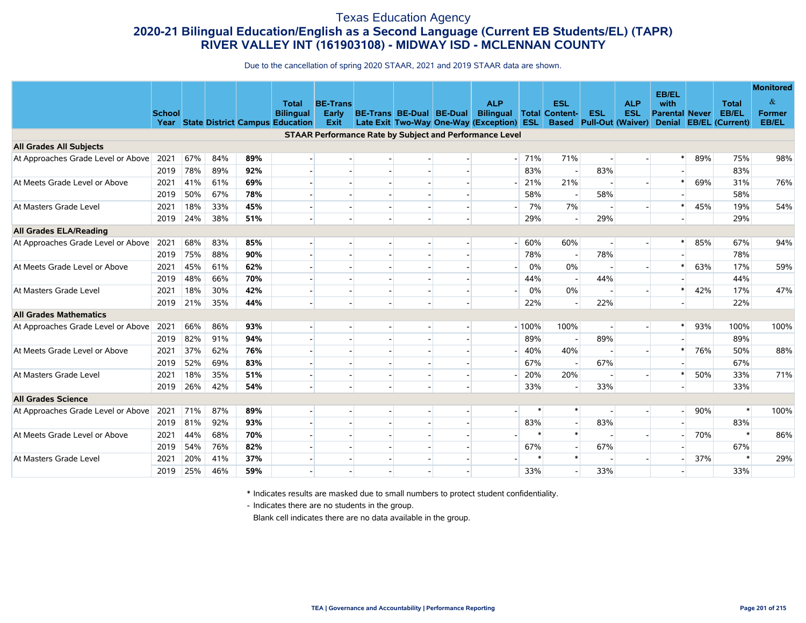# Texas Education Agency **2020-21 Bilingual Education/English as a Second Language (Current EB Students/EL) (TAPR) RIVER VALLEY INT (161903108) - MIDWAY ISD - MCLENNAN COUNTY**

Due to the cancellation of spring 2020 STAAR, 2021 and 2019 STAAR data are shown.

|                                    |               |     |     |     |                                                                 |                          |                          |                                 |                                                                |         |                       |            |                                              | EB/EL                 |     |                                 | <b>Monitored</b>       |
|------------------------------------|---------------|-----|-----|-----|-----------------------------------------------------------------|--------------------------|--------------------------|---------------------------------|----------------------------------------------------------------|---------|-----------------------|------------|----------------------------------------------|-----------------------|-----|---------------------------------|------------------------|
|                                    |               |     |     |     | <b>Total</b>                                                    | <b>BE-Trans</b>          |                          |                                 | <b>ALP</b>                                                     |         | <b>ESL</b>            |            | <b>ALP</b>                                   | with                  |     | <b>Total</b>                    | &                      |
|                                    | <b>School</b> |     |     |     | <b>Bilingual</b><br><b>Year State District Campus Education</b> | Early<br>Exit            |                          | <b>BE-Trans BE-Dual BE-Dual</b> | <b>Bilingual</b><br>Late Exit Two-Way One-Way (Exception) ESL  |         | <b>Total Content-</b> | <b>ESL</b> | <b>ESL</b><br><b>Based Pull-Out (Waiver)</b> | <b>Parental Never</b> |     | EB/EL<br>Denial EB/EL (Current) | <b>Former</b><br>EB/EL |
|                                    |               |     |     |     |                                                                 |                          |                          |                                 | <b>STAAR Performance Rate by Subject and Performance Level</b> |         |                       |            |                                              |                       |     |                                 |                        |
| <b>All Grades All Subjects</b>     |               |     |     |     |                                                                 |                          |                          |                                 |                                                                |         |                       |            |                                              |                       |     |                                 |                        |
| At Approaches Grade Level or Above | 2021          | 67% | 84% | 89% |                                                                 |                          |                          |                                 |                                                                | 71%     | 71%                   |            |                                              |                       | 89% | 75%                             | 98%                    |
|                                    | 2019          | 78% | 89% | 92% |                                                                 |                          |                          |                                 |                                                                | 83%     |                       | 83%        |                                              |                       |     | 83%                             |                        |
| At Meets Grade Level or Above      | 2021          | 41% | 61% | 69% |                                                                 |                          |                          |                                 |                                                                | 21%     | 21%                   |            |                                              |                       | 69% | 31%                             | 76%                    |
|                                    | 2019          | 50% | 67% | 78% |                                                                 |                          |                          |                                 |                                                                | 58%     |                       | 58%        |                                              |                       |     | 58%                             |                        |
| At Masters Grade Level             | 2021          | 18% | 33% | 45% |                                                                 |                          |                          |                                 |                                                                | 7%      | 7%                    |            |                                              |                       | 45% | 19%                             | 54%                    |
|                                    | 2019          | 24% | 38% | 51% |                                                                 |                          |                          |                                 |                                                                | 29%     |                       | 29%        |                                              |                       |     | 29%                             |                        |
| <b>All Grades ELA/Reading</b>      |               |     |     |     |                                                                 |                          |                          |                                 |                                                                |         |                       |            |                                              |                       |     |                                 |                        |
| At Approaches Grade Level or Above | 2021          | 68% | 83% | 85% |                                                                 |                          |                          |                                 |                                                                | 60%     | 60%                   |            |                                              |                       | 85% | 67%                             | 94%                    |
|                                    | 2019          | 75% | 88% | 90% |                                                                 |                          |                          |                                 |                                                                | 78%     |                       | 78%        |                                              |                       |     | 78%                             |                        |
| At Meets Grade Level or Above      | 2021          | 45% | 61% | 62% |                                                                 |                          |                          |                                 |                                                                | 0%      | 0%                    |            |                                              |                       | 63% | 17%                             | 59%                    |
|                                    | 2019          | 48% | 66% | 70% |                                                                 |                          |                          |                                 |                                                                | 44%     |                       | 44%        |                                              |                       |     | 44%                             |                        |
| At Masters Grade Level             | 2021          | 18% | 30% | 42% |                                                                 |                          |                          |                                 |                                                                | 0%      | 0%                    |            |                                              |                       | 42% | 17%                             | 47%                    |
|                                    | 2019          | 21% | 35% | 44% |                                                                 |                          |                          |                                 |                                                                | 22%     |                       | 22%        |                                              |                       |     | 22%                             |                        |
| <b>All Grades Mathematics</b>      |               |     |     |     |                                                                 |                          |                          |                                 |                                                                |         |                       |            |                                              |                       |     |                                 |                        |
| At Approaches Grade Level or Above | 2021          | 66% | 86% | 93% |                                                                 |                          |                          |                                 |                                                                | $-100%$ | 100%                  |            |                                              |                       | 93% | 100%                            | 100%                   |
|                                    | 2019          | 82% | 91% | 94% |                                                                 |                          |                          |                                 |                                                                | 89%     |                       | 89%        |                                              |                       |     | 89%                             |                        |
| At Meets Grade Level or Above      | 2021          | 37% | 62% | 76% |                                                                 |                          |                          |                                 |                                                                | 40%     | 40%                   |            |                                              |                       | 76% | 50%                             | 88%                    |
|                                    | 2019          | 52% | 69% | 83% |                                                                 |                          |                          |                                 |                                                                | 67%     |                       | 67%        |                                              |                       |     | 67%                             |                        |
| At Masters Grade Level             | 2021          | 18% | 35% | 51% |                                                                 | $\overline{\phantom{a}}$ | $\overline{\phantom{a}}$ |                                 |                                                                | 20%     | 20%                   |            |                                              |                       | 50% | 33%                             | 71%                    |
|                                    | 2019          | 26% | 42% | 54% |                                                                 |                          |                          |                                 |                                                                | 33%     |                       | 33%        |                                              |                       |     | 33%                             |                        |
| <b>All Grades Science</b>          |               |     |     |     |                                                                 |                          |                          |                                 |                                                                |         |                       |            |                                              |                       |     |                                 |                        |
| At Approaches Grade Level or Above | 2021          | 71% | 87% | 89% |                                                                 |                          |                          |                                 |                                                                | $\ast$  |                       |            |                                              |                       | 90% | $\ast$                          | 100%                   |
|                                    | 2019          | 81% | 92% | 93% |                                                                 |                          |                          |                                 |                                                                | 83%     |                       | 83%        |                                              |                       |     | 83%                             |                        |
| At Meets Grade Level or Above      | 2021          | 44% | 68% | 70% |                                                                 |                          |                          |                                 |                                                                |         |                       |            |                                              |                       | 70% | $\ast$                          | 86%                    |
|                                    | 2019          | 54% | 76% | 82% |                                                                 |                          |                          |                                 |                                                                | 67%     |                       | 67%        |                                              |                       |     | 67%                             |                        |
| At Masters Grade Level             | 2021          | 20% | 41% | 37% |                                                                 |                          |                          |                                 |                                                                |         |                       |            |                                              |                       | 37% | $\ast$                          | 29%                    |
|                                    | 2019          | 25% | 46% | 59% |                                                                 |                          |                          |                                 |                                                                | 33%     |                       | 33%        |                                              |                       |     | 33%                             |                        |

\* Indicates results are masked due to small numbers to protect student confidentiality.

- Indicates there are no students in the group.

Blank cell indicates there are no data available in the group.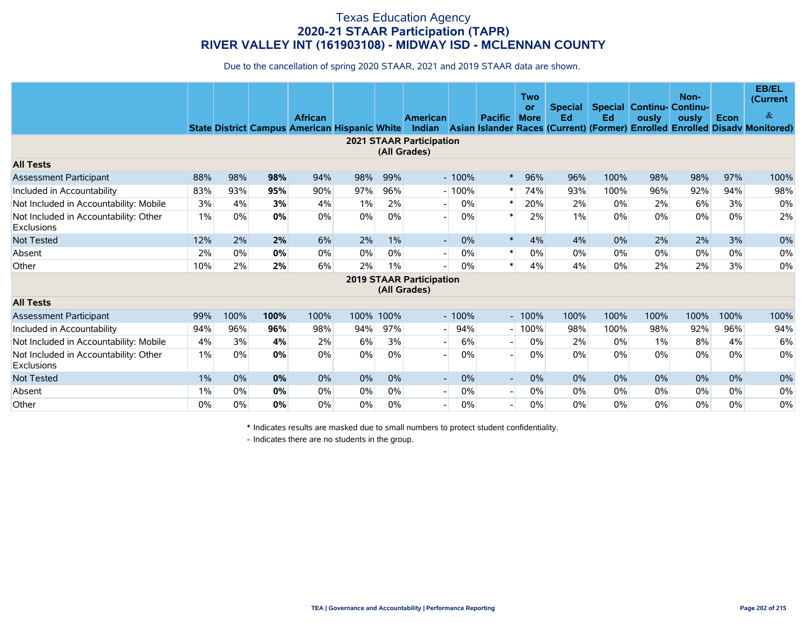# Texas Education Agency **2020-21 STAAR Participation (TAPR) RIVER VALLEY INT (161903108) - MIDWAY ISD - MCLENNAN COUNTY**

Due to the cancellation of spring 2020 STAAR, 2021 and 2019 STAAR data are shown.

|                                                            |       |      |      | <b>African</b><br><b>State District Campus American Hispanic White</b> |     |           | <b>American</b>                                 |         | <b>Pacific</b>           | Two<br>or<br><b>More</b> | <b>Special</b><br>Ed | Ed    | <b>Special Continu- Continu-</b><br>ously | Non-<br>ously | Econ | <b>EB/EL</b><br>(Current<br>&<br>Indian Asian Islander Races (Current) (Former) Enrolled Enrolled Disady Monitored) |
|------------------------------------------------------------|-------|------|------|------------------------------------------------------------------------|-----|-----------|-------------------------------------------------|---------|--------------------------|--------------------------|----------------------|-------|-------------------------------------------|---------------|------|---------------------------------------------------------------------------------------------------------------------|
|                                                            |       |      |      |                                                                        |     |           | 2021 STAAR Participation<br>(All Grades)        |         |                          |                          |                      |       |                                           |               |      |                                                                                                                     |
| <b>All Tests</b>                                           |       |      |      |                                                                        |     |           |                                                 |         |                          |                          |                      |       |                                           |               |      |                                                                                                                     |
| <b>Assessment Participant</b>                              | 88%   | 98%  | 98%  | 94%                                                                    | 98% | 99%       |                                                 | $-100%$ | $\ast$                   | 96%                      | 96%                  | 100%  | 98%                                       | 98%           | 97%  | 100%                                                                                                                |
| Included in Accountability                                 | 83%   | 93%  | 95%  | 90%                                                                    | 97% | 96%       |                                                 | $-100%$ | $\ast$                   | 74%                      | 93%                  | 100%  | 96%                                       | 92%           | 94%  | 98%                                                                                                                 |
| Not Included in Accountability: Mobile                     | 3%    | 4%   | 3%   | 4%                                                                     | 1%  | 2%        |                                                 | 0%      | $\ast$                   | 20%                      | 2%                   | 0%    | 2%                                        | 6%            | 3%   | 0%                                                                                                                  |
| Not Included in Accountability: Other<br><b>Exclusions</b> | $1\%$ | 0%   | 0%   | 0%                                                                     | 0%  | 0%        |                                                 | 0%      |                          | 2%                       | $1\%$                | 0%    | 0%                                        | 0%            | 0%   | 2%                                                                                                                  |
| <b>Not Tested</b>                                          | 12%   | 2%   | 2%   | 6%                                                                     | 2%  | $1\%$     | $\blacksquare$                                  | 0%      | $\ast$                   | 4%                       | 4%                   | 0%    | 2%                                        | 2%            | 3%   | 0%                                                                                                                  |
| Absent                                                     | 2%    | 0%   | 0%   | $0\%$                                                                  | 0%  | 0%        | $\overline{a}$                                  | 0%      | $\ast$                   | $0\%$                    | $0\%$                | $0\%$ | 0%                                        | $0\%$         | 0%   | 0%                                                                                                                  |
| Other                                                      | 10%   | 2%   | 2%   | 6%                                                                     | 2%  | 1%        |                                                 | 0%      | $\ast$                   | 4%                       | 4%                   | 0%    | 2%                                        | 2%            | 3%   | 0%                                                                                                                  |
|                                                            |       |      |      |                                                                        |     |           | <b>2019 STAAR Participation</b><br>(All Grades) |         |                          |                          |                      |       |                                           |               |      |                                                                                                                     |
| <b>All Tests</b>                                           |       |      |      |                                                                        |     |           |                                                 |         |                          |                          |                      |       |                                           |               |      |                                                                                                                     |
| Assessment Participant                                     | 99%   | 100% | 100% | 100%                                                                   |     | 100% 100% |                                                 | $-100%$ |                          | $-100%$                  | 100%                 | 100%  | 100%                                      | 100%          | 100% | 100%                                                                                                                |
| Included in Accountability                                 | 94%   | 96%  | 96%  | 98%                                                                    | 94% | 97%       | $\overline{a}$                                  | 94%     | $\overline{\phantom{a}}$ | 100%                     | 98%                  | 100%  | 98%                                       | 92%           | 96%  | 94%                                                                                                                 |
| Not Included in Accountability: Mobile                     | 4%    | 3%   | 4%   | 2%                                                                     | 6%  | 3%        |                                                 | 6%      |                          | $0\%$                    | 2%                   | 0%    | 1%                                        | 8%            | 4%   | 6%                                                                                                                  |
| Not Included in Accountability: Other<br>Exclusions        | $1\%$ | 0%   | 0%   | 0%                                                                     | 0%  | 0%        |                                                 | 0%      |                          | 0%                       | $0\%$                | 0%    | 0%                                        | $0\%$         | 0%   | 0%                                                                                                                  |
| <b>Not Tested</b>                                          | $1\%$ | 0%   | 0%   | 0%                                                                     | 0%  | 0%        | $\overline{\phantom{a}}$                        | 0%      | $\overline{\phantom{a}}$ | 0%                       | 0%                   | 0%    | 0%                                        | 0%            | 0%   | 0%                                                                                                                  |
| Absent                                                     | $1\%$ | 0%   | 0%   | 0%                                                                     | 0%  | 0%        | $\sim$                                          | $0\%$   | $\overline{\phantom{0}}$ | 0%                       | $0\%$                | $0\%$ | $0\%$                                     | 0%            | 0%   | 0%                                                                                                                  |
| Other                                                      | 0%    | 0%   | 0%   | 0%                                                                     | 0%  | 0%        |                                                 | 0%      |                          | 0%                       | $0\%$                | $0\%$ | 0%                                        | 0%            | 0%   | 0%                                                                                                                  |

\* Indicates results are masked due to small numbers to protect student confidentiality.

- Indicates there are no students in the group.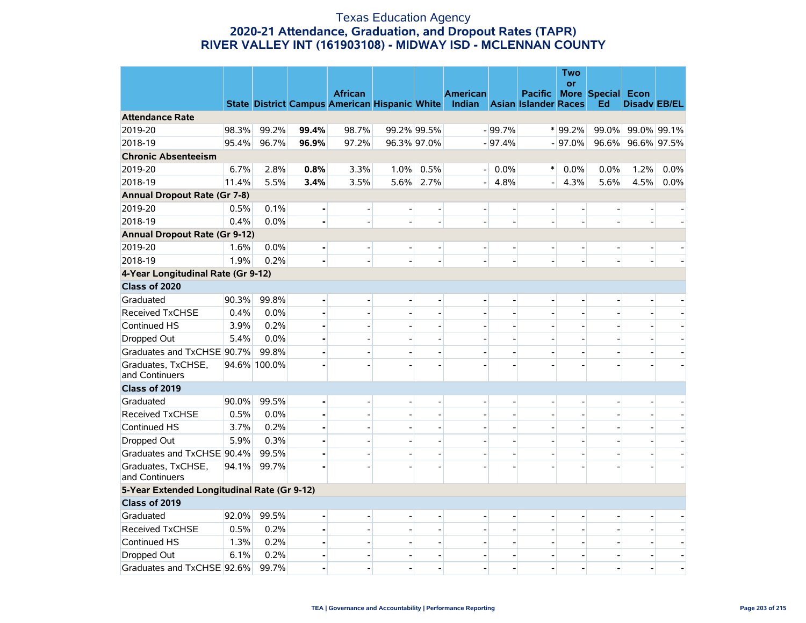## Texas Education Agency **2020-21 Attendance, Graduation, and Dropout Rates (TAPR) RIVER VALLEY INT (161903108) - MIDWAY ISD - MCLENNAN COUNTY**

|                                             |       |              |                | <b>African</b>                                |                          |                          | <b>American</b>             |          | <b>Pacific</b>           | <b>Two</b><br><b>or</b>  | <b>More Special Econ</b> |                              |                          |
|---------------------------------------------|-------|--------------|----------------|-----------------------------------------------|--------------------------|--------------------------|-----------------------------|----------|--------------------------|--------------------------|--------------------------|------------------------------|--------------------------|
|                                             |       |              |                | State District Campus American Hispanic White |                          |                          | Indian Asian Islander Races |          |                          |                          | Ed                       | <b>Disadv EB/EL</b>          |                          |
| <b>Attendance Rate</b>                      |       |              |                |                                               |                          |                          |                             |          |                          |                          |                          |                              |                          |
| 2019-20                                     | 98.3% | 99.2%        | 99.4%          | 98.7%                                         |                          | 99.2% 99.5%              |                             | $-99.7%$ |                          | $*$ 99.2%                |                          | 99.0% 99.0% 99.1%            |                          |
| 2018-19                                     | 95.4% | 96.7%        | 96.9%          | 97.2%                                         |                          | 96.3% 97.0%              |                             | $-97.4%$ |                          | $-97.0%$                 |                          | 96.6% 96.6% 97.5%            |                          |
| <b>Chronic Absenteeism</b>                  |       |              |                |                                               |                          |                          |                             |          |                          |                          |                          |                              |                          |
| 2019-20                                     | 6.7%  | 2.8%         | 0.8%           | 3.3%                                          | 1.0%                     | 0.5%                     | $\overline{\phantom{a}}$    | 0.0%     | $\ast$                   | 0.0%                     | 0.0%                     | 1.2%                         | $0.0\%$                  |
| 2018-19                                     | 11.4% | 5.5%         | 3.4%           | 3.5%                                          |                          | 5.6% 2.7%                |                             | 4.8%     |                          | 4.3%                     | 5.6%                     | 4.5%                         | 0.0%                     |
| <b>Annual Dropout Rate (Gr 7-8)</b>         |       |              |                |                                               |                          |                          |                             |          |                          |                          |                          |                              |                          |
| 2019-20                                     | 0.5%  | 0.1%         | $\blacksquare$ | $\overline{\phantom{a}}$                      | $\overline{\phantom{a}}$ |                          | $\overline{\phantom{a}}$    |          | $\overline{\phantom{a}}$ | $\overline{\phantom{a}}$ |                          |                              |                          |
| 2018-19                                     | 0.4%  | 0.0%         |                | $\overline{\phantom{a}}$                      | $\blacksquare$           | $\overline{\phantom{0}}$ | $\overline{\phantom{a}}$    |          |                          | $\overline{\phantom{a}}$ | $\blacksquare$           | $\qquad \qquad \blacksquare$ |                          |
| <b>Annual Dropout Rate (Gr 9-12)</b>        |       |              |                |                                               |                          |                          |                             |          |                          |                          |                          |                              |                          |
| 2019-20                                     | 1.6%  | 0.0%         |                |                                               | $\overline{\phantom{a}}$ | -                        | $\overline{a}$              |          |                          |                          |                          | -                            |                          |
| 2018-19                                     | 1.9%  | 0.2%         |                |                                               |                          |                          |                             |          |                          |                          |                          |                              |                          |
| 4-Year Longitudinal Rate (Gr 9-12)          |       |              |                |                                               |                          |                          |                             |          |                          |                          |                          |                              |                          |
| Class of 2020                               |       |              |                |                                               |                          |                          |                             |          |                          |                          |                          |                              |                          |
| Graduated                                   | 90.3% | 99.8%        | $\blacksquare$ | $\overline{a}$                                | $\overline{\phantom{a}}$ | $\overline{\phantom{a}}$ | $\overline{\phantom{a}}$    |          |                          | $\overline{a}$           | $\overline{\phantom{a}}$ | ÷                            |                          |
| <b>Received TxCHSE</b>                      | 0.4%  | 0.0%         |                |                                               |                          |                          |                             |          |                          |                          |                          |                              |                          |
| Continued HS                                | 3.9%  | 0.2%         |                |                                               | $\frac{1}{2}$            |                          | $\overline{a}$              |          |                          |                          |                          |                              |                          |
| Dropped Out                                 | 5.4%  | 0.0%         |                |                                               |                          |                          |                             |          |                          |                          |                          |                              |                          |
| Graduates and TxCHSE 90.7%                  |       | 99.8%        |                |                                               | $\overline{\phantom{a}}$ |                          |                             |          |                          |                          |                          |                              |                          |
| Graduates, TxCHSE,<br>and Continuers        |       | 94.6% 100.0% |                |                                               |                          |                          |                             |          |                          |                          |                          |                              |                          |
| Class of 2019                               |       |              |                |                                               |                          |                          |                             |          |                          |                          |                          |                              |                          |
| Graduated                                   | 90.0% | 99.5%        | $\blacksquare$ |                                               | $\overline{\phantom{a}}$ | $\overline{\phantom{a}}$ | $\overline{\phantom{a}}$    |          |                          |                          |                          | $\overline{\phantom{0}}$     |                          |
| <b>Received TxCHSE</b>                      | 0.5%  | 0.0%         |                |                                               |                          |                          |                             |          |                          |                          |                          |                              |                          |
| Continued HS                                | 3.7%  | 0.2%         |                |                                               | $\blacksquare$           |                          |                             |          |                          |                          |                          |                              |                          |
| Dropped Out                                 | 5.9%  | 0.3%         |                |                                               |                          |                          |                             |          |                          |                          |                          |                              |                          |
| Graduates and TxCHSE 90.4%                  |       | 99.5%        |                |                                               | $\blacksquare$           | $\overline{a}$           |                             |          |                          |                          |                          |                              |                          |
| Graduates, TxCHSE,<br>and Continuers        | 94.1% | 99.7%        |                |                                               |                          |                          |                             |          |                          |                          |                          |                              |                          |
| 5-Year Extended Longitudinal Rate (Gr 9-12) |       |              |                |                                               |                          |                          |                             |          |                          |                          |                          |                              |                          |
| Class of 2019                               |       |              |                |                                               |                          |                          |                             |          |                          |                          |                          |                              |                          |
| Graduated                                   | 92.0% | 99.5%        | $\blacksquare$ |                                               | $\overline{\phantom{a}}$ | Ĭ.                       | $\overline{a}$              |          |                          |                          |                          |                              |                          |
| <b>Received TxCHSE</b>                      | 0.5%  | 0.2%         |                |                                               |                          |                          |                             |          |                          |                          |                          |                              |                          |
| Continued HS                                | 1.3%  | 0.2%         |                |                                               | $\overline{\phantom{a}}$ |                          |                             |          |                          |                          | $\blacksquare$           |                              | $\overline{\phantom{a}}$ |
| Dropped Out                                 | 6.1%  | 0.2%         |                |                                               | $\overline{\phantom{a}}$ |                          | $\overline{\phantom{a}}$    |          |                          |                          | $\overline{\phantom{a}}$ |                              | $\overline{\phantom{a}}$ |
| Graduates and TxCHSE 92.6%                  |       | 99.7%        |                |                                               | $\overline{\phantom{0}}$ |                          |                             |          |                          |                          |                          |                              | $\overline{\phantom{a}}$ |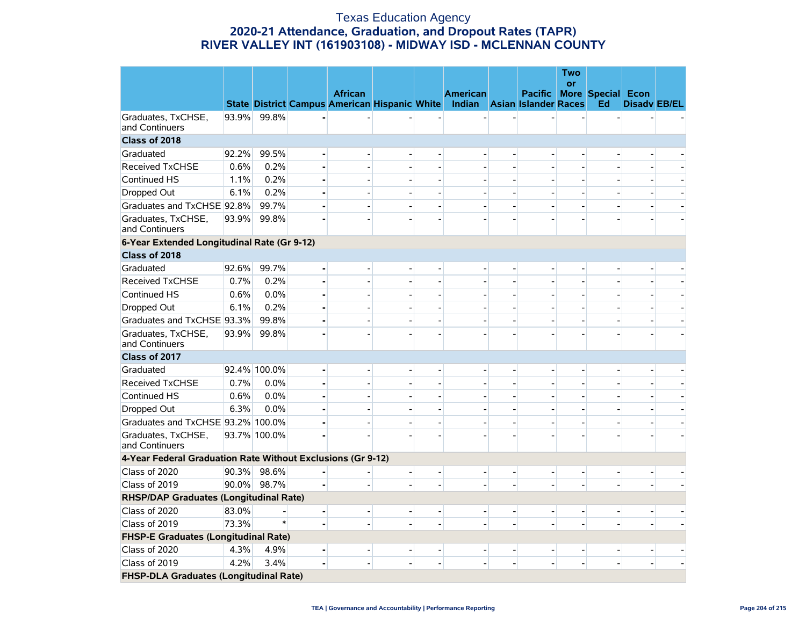## Texas Education Agency **2020-21 Attendance, Graduation, and Dropout Rates (TAPR) RIVER VALLEY INT (161903108) - MIDWAY ISD - MCLENNAN COUNTY**

|                                                             |       |              |                                               |                          |                |                                    |                | <b>Two</b><br>or |                          |                     |  |
|-------------------------------------------------------------|-------|--------------|-----------------------------------------------|--------------------------|----------------|------------------------------------|----------------|------------------|--------------------------|---------------------|--|
|                                                             |       |              | <b>African</b>                                |                          |                | <b>American</b>                    | <b>Pacific</b> |                  | <b>More Special Econ</b> |                     |  |
|                                                             |       |              | State District Campus American Hispanic White |                          |                | <b>Indian</b> Asian Islander Races |                |                  | Ed                       | <b>Disadv EB/EL</b> |  |
| Graduates, TxCHSE,<br>and Continuers                        | 93.9% | 99.8%        |                                               |                          |                |                                    |                |                  |                          |                     |  |
| Class of 2018                                               |       |              |                                               |                          |                |                                    |                |                  |                          |                     |  |
| Graduated                                                   | 92.2% | 99.5%        |                                               |                          |                |                                    |                |                  |                          |                     |  |
| <b>Received TxCHSE</b>                                      | 0.6%  | 0.2%         |                                               |                          |                |                                    |                |                  |                          |                     |  |
| Continued HS                                                | 1.1%  | 0.2%         |                                               |                          |                |                                    |                |                  |                          |                     |  |
| Dropped Out                                                 | 6.1%  | 0.2%         |                                               |                          |                |                                    |                |                  |                          |                     |  |
| Graduates and TxCHSE 92.8%                                  |       | 99.7%        |                                               |                          |                |                                    |                |                  |                          |                     |  |
| Graduates, TxCHSE,<br>and Continuers                        | 93.9% | 99.8%        |                                               |                          |                |                                    |                |                  |                          |                     |  |
| 6-Year Extended Longitudinal Rate (Gr 9-12)                 |       |              |                                               |                          |                |                                    |                |                  |                          |                     |  |
| Class of 2018                                               |       |              |                                               |                          |                |                                    |                |                  |                          |                     |  |
| Graduated                                                   | 92.6% | 99.7%        |                                               |                          |                |                                    |                |                  |                          |                     |  |
| Received TxCHSE                                             | 0.7%  | 0.2%         |                                               |                          |                |                                    |                |                  |                          |                     |  |
| Continued HS                                                | 0.6%  | 0.0%         |                                               |                          |                |                                    |                |                  |                          |                     |  |
| Dropped Out                                                 | 6.1%  | 0.2%         |                                               |                          |                |                                    |                |                  |                          |                     |  |
| Graduates and TxCHSE 93.3%                                  |       | 99.8%        |                                               |                          |                |                                    |                |                  |                          |                     |  |
| Graduates, TxCHSE,<br>and Continuers                        | 93.9% | 99.8%        |                                               |                          |                |                                    |                |                  |                          |                     |  |
| Class of 2017                                               |       |              |                                               |                          |                |                                    |                |                  |                          |                     |  |
| Graduated                                                   |       | 92.4% 100.0% |                                               |                          |                |                                    |                |                  |                          |                     |  |
| <b>Received TxCHSE</b>                                      | 0.7%  | 0.0%         |                                               |                          |                |                                    |                |                  |                          |                     |  |
| Continued HS                                                | 0.6%  | 0.0%         |                                               |                          |                |                                    |                |                  |                          |                     |  |
| Dropped Out                                                 | 6.3%  | 0.0%         |                                               |                          |                |                                    |                |                  |                          |                     |  |
| Graduates and TxCHSE 93.2% 100.0%                           |       |              |                                               |                          |                |                                    |                |                  |                          |                     |  |
| Graduates, TxCHSE,<br>and Continuers                        |       | 93.7% 100.0% |                                               |                          |                |                                    |                |                  |                          |                     |  |
| 4-Year Federal Graduation Rate Without Exclusions (Gr 9-12) |       |              |                                               |                          |                |                                    |                |                  |                          |                     |  |
| Class of 2020                                               | 90.3% | 98.6%        |                                               | $\blacksquare$           |                | $\overline{\phantom{a}}$           |                |                  | $\overline{\phantom{a}}$ |                     |  |
| Class of 2019                                               | 90.0% | 98.7%        |                                               |                          |                |                                    |                |                  |                          |                     |  |
| RHSP/DAP Graduates (Longitudinal Rate)                      |       |              |                                               |                          |                |                                    |                |                  |                          |                     |  |
| Class of 2020                                               | 83.0% |              |                                               | $\overline{\phantom{a}}$ |                |                                    |                |                  | $\overline{\phantom{a}}$ |                     |  |
| Class of 2019                                               | 73.3% |              |                                               | $\blacksquare$           | $\overline{a}$ | $\overline{a}$                     |                |                  |                          | $\overline{a}$      |  |
| <b>FHSP-E Graduates (Longitudinal Rate)</b>                 |       |              |                                               |                          |                |                                    |                |                  |                          |                     |  |
| Class of 2020                                               | 4.3%  | 4.9%         |                                               |                          |                |                                    |                |                  |                          |                     |  |
| Class of 2019                                               | 4.2%  | 3.4%         |                                               |                          |                |                                    |                |                  |                          |                     |  |
| <b>FHSP-DLA Graduates (Longitudinal Rate)</b>               |       |              |                                               |                          |                |                                    |                |                  |                          |                     |  |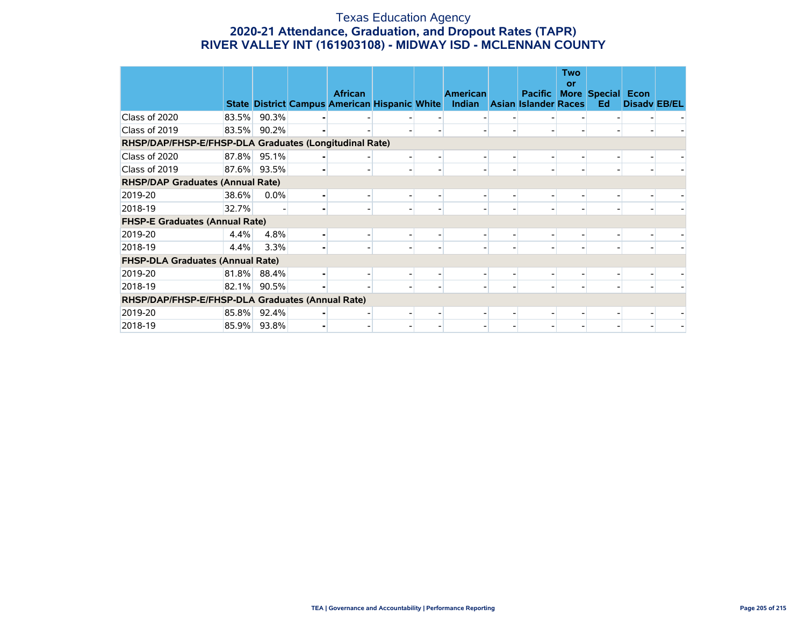## Texas Education Agency **2020-21 Attendance, Graduation, and Dropout Rates (TAPR) RIVER VALLEY INT (161903108) - MIDWAY ISD - MCLENNAN COUNTY**

|                                                        |       |             |                                                                        |                          |                                  |                                        | <b>Two</b><br>or |                                |                     |  |
|--------------------------------------------------------|-------|-------------|------------------------------------------------------------------------|--------------------------|----------------------------------|----------------------------------------|------------------|--------------------------------|---------------------|--|
|                                                        |       |             | <b>African</b><br><b>State District Campus American Hispanic White</b> |                          | <b>American</b><br><b>Indian</b> | <b>Pacific</b><br>Asian Islander Races |                  | <b>More Special Econ</b><br>Ed | <b>Disady EB/EL</b> |  |
| Class of 2020                                          | 83.5% | 90.3%       |                                                                        |                          |                                  |                                        |                  |                                |                     |  |
| Class of 2019                                          | 83.5% | 90.2%       |                                                                        |                          |                                  |                                        |                  |                                |                     |  |
| RHSP/DAP/FHSP-E/FHSP-DLA Graduates (Longitudinal Rate) |       |             |                                                                        |                          |                                  |                                        |                  |                                |                     |  |
| Class of 2020                                          | 87.8% | 95.1%       |                                                                        |                          |                                  |                                        |                  |                                |                     |  |
| Class of 2019                                          | 87.6% | 93.5%       |                                                                        | $\overline{\phantom{a}}$ |                                  |                                        |                  |                                |                     |  |
| <b>RHSP/DAP Graduates (Annual Rate)</b>                |       |             |                                                                        |                          |                                  |                                        |                  |                                |                     |  |
| 2019-20                                                | 38.6% | 0.0%        |                                                                        |                          |                                  |                                        |                  |                                |                     |  |
| 2018-19                                                | 32.7% |             |                                                                        | $\overline{\phantom{0}}$ |                                  |                                        |                  |                                |                     |  |
| <b>FHSP-E Graduates (Annual Rate)</b>                  |       |             |                                                                        |                          |                                  |                                        |                  |                                |                     |  |
| 2019-20                                                | 4.4%  | 4.8%        |                                                                        |                          |                                  |                                        |                  |                                |                     |  |
| 2018-19                                                | 4.4%  | 3.3%        |                                                                        | -                        |                                  |                                        |                  |                                |                     |  |
| FHSP-DLA Graduates (Annual Rate)                       |       |             |                                                                        |                          |                                  |                                        |                  |                                |                     |  |
| 2019-20                                                | 81.8% | 88.4%       |                                                                        |                          |                                  |                                        |                  |                                |                     |  |
| 2018-19                                                | 82.1% | 90.5%       |                                                                        |                          |                                  |                                        |                  |                                |                     |  |
| RHSP/DAP/FHSP-E/FHSP-DLA Graduates (Annual Rate)       |       |             |                                                                        |                          |                                  |                                        |                  |                                |                     |  |
| 2019-20                                                | 85.8% | 92.4%       |                                                                        |                          |                                  |                                        |                  |                                |                     |  |
| 2018-19                                                |       | 85.9% 93.8% |                                                                        |                          |                                  |                                        |                  |                                |                     |  |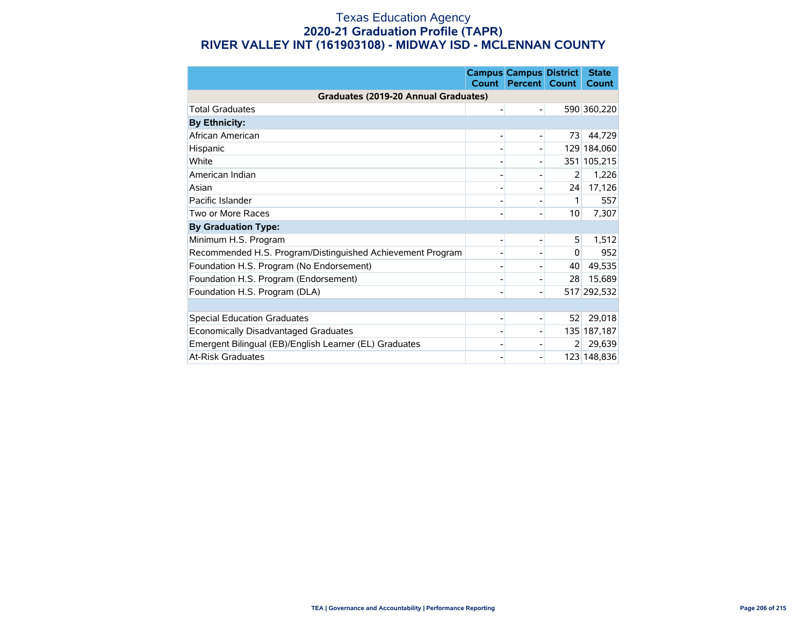## Texas Education Agency **2020-21 Graduation Profile (TAPR) RIVER VALLEY INT (161903108) - MIDWAY ISD - MCLENNAN COUNTY**

|                                                            | Count | <b>Campus Campus District</b><br><b>Percent</b> | <b>Count</b>   | <b>State</b><br><b>Count</b> |
|------------------------------------------------------------|-------|-------------------------------------------------|----------------|------------------------------|
| Graduates (2019-20 Annual Graduates)                       |       |                                                 |                |                              |
| <b>Total Graduates</b>                                     |       |                                                 |                | 590 360,220                  |
| <b>By Ethnicity:</b>                                       |       |                                                 |                |                              |
| African American                                           |       |                                                 | 73             | 44,729                       |
| Hispanic                                                   |       |                                                 |                | 129 184,060                  |
| White                                                      |       |                                                 | 351            | 105,215                      |
| American Indian                                            |       |                                                 | 2              | 1,226                        |
| Asian                                                      |       |                                                 | 24             | 17,126                       |
| Pacific Islander                                           |       |                                                 | 1              | 557                          |
| Two or More Races                                          |       |                                                 | 10             | 7,307                        |
| <b>By Graduation Type:</b>                                 |       |                                                 |                |                              |
| Minimum H.S. Program                                       |       |                                                 | 5              | 1,512                        |
| Recommended H.S. Program/Distinguished Achievement Program |       |                                                 | 0              | 952                          |
| Foundation H.S. Program (No Endorsement)                   |       |                                                 | 40             | 49,535                       |
| Foundation H.S. Program (Endorsement)                      |       |                                                 | 28             | 15,689                       |
| Foundation H.S. Program (DLA)                              |       |                                                 |                | 517 292,532                  |
|                                                            |       |                                                 |                |                              |
| <b>Special Education Graduates</b>                         |       |                                                 | 52             | 29,018                       |
| Economically Disadvantaged Graduates                       |       |                                                 |                | 135 187,187                  |
| Emergent Bilingual (EB)/English Learner (EL) Graduates     |       |                                                 | $\overline{2}$ | 29,639                       |
| <b>At-Risk Graduates</b>                                   |       |                                                 |                | 123 148,836                  |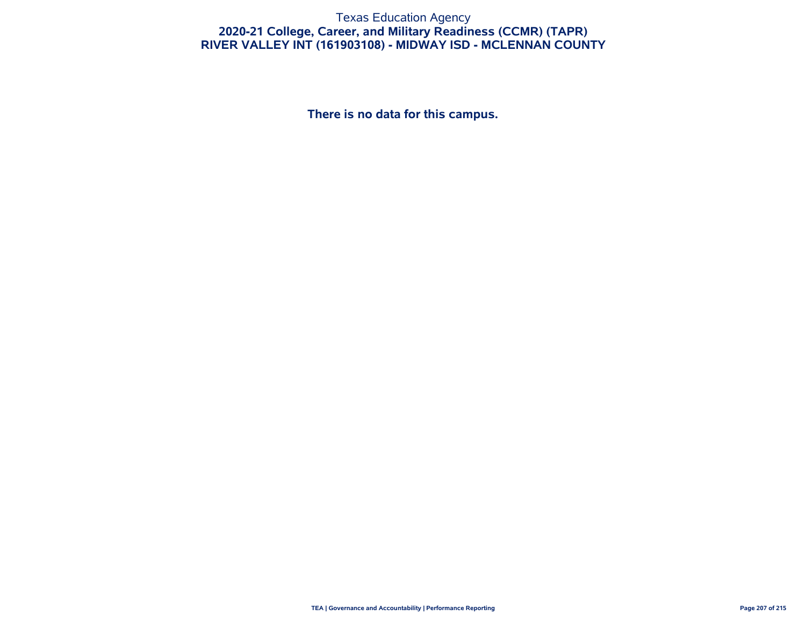## Texas Education Agency **2020-21 College, Career, and Military Readiness (CCMR) (TAPR) RIVER VALLEY INT (161903108) - MIDWAY ISD - MCLENNAN COUNTY**

**There is no data for this campus.**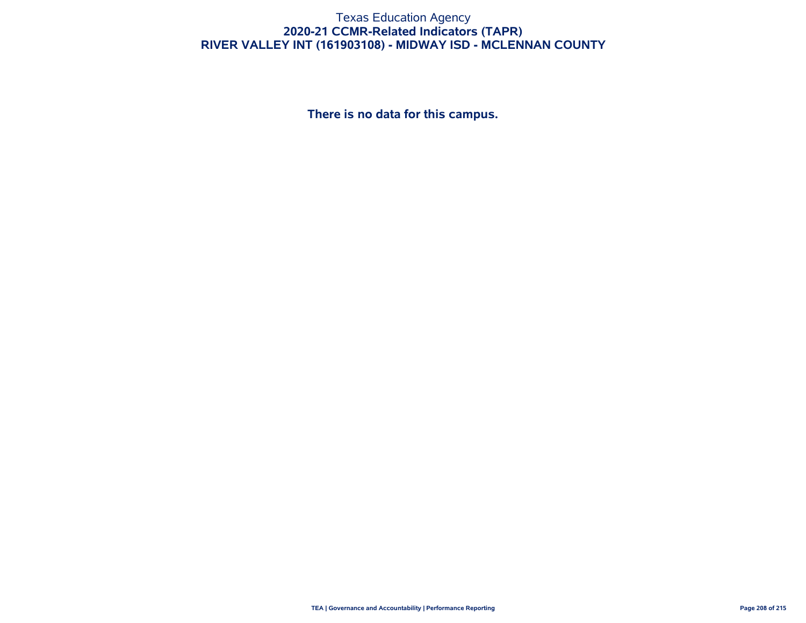### Texas Education Agency **2020-21 CCMR-Related Indicators (TAPR) RIVER VALLEY INT (161903108) - MIDWAY ISD - MCLENNAN COUNTY**

**There is no data for this campus.**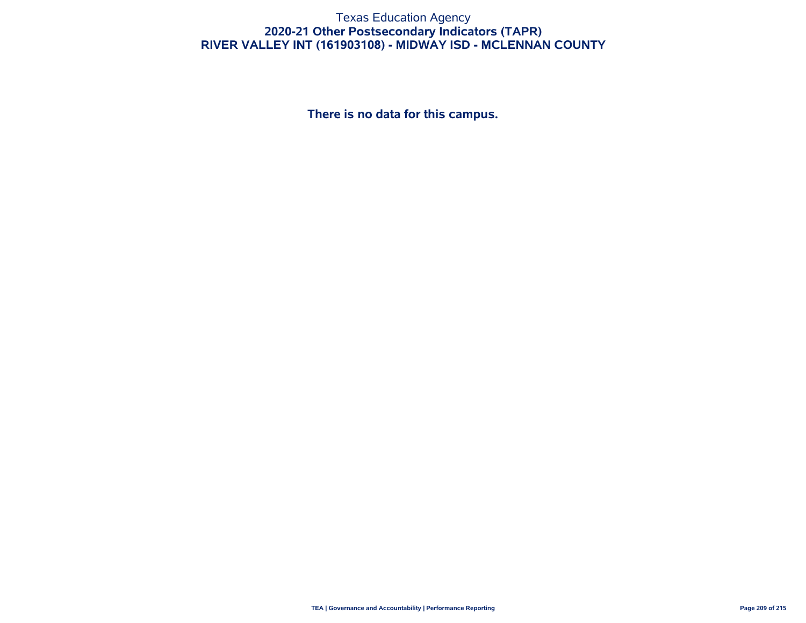### Texas Education Agency **2020-21 Other Postsecondary Indicators (TAPR) RIVER VALLEY INT (161903108) - MIDWAY ISD - MCLENNAN COUNTY**

**There is no data for this campus.**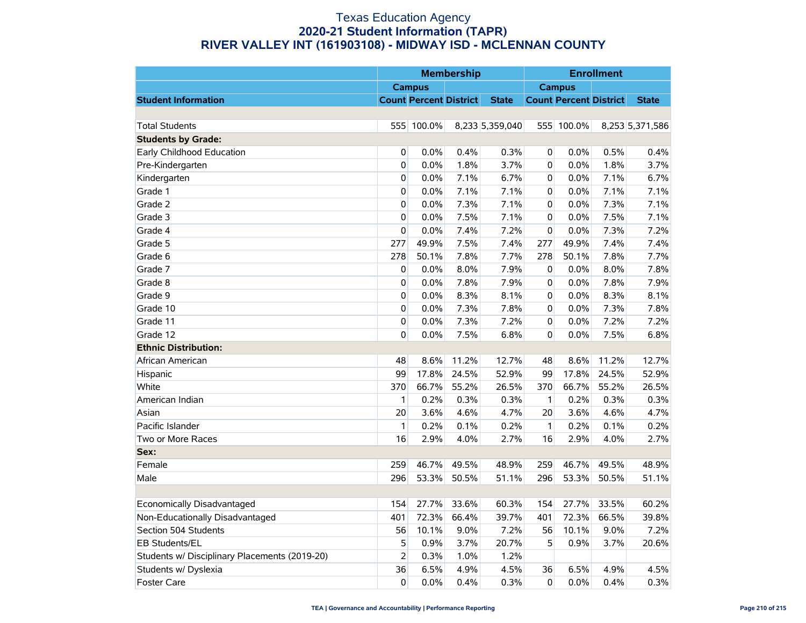## Texas Education Agency **2020-21 Student Information (TAPR) RIVER VALLEY INT (161903108) - MIDWAY ISD - MCLENNAN COUNTY**

|                                               |                |                               | <b>Membership</b> |                 |              |                               | <b>Enrollment</b> |                 |
|-----------------------------------------------|----------------|-------------------------------|-------------------|-----------------|--------------|-------------------------------|-------------------|-----------------|
|                                               |                | <b>Campus</b>                 |                   |                 |              | <b>Campus</b>                 |                   |                 |
| <b>Student Information</b>                    |                | <b>Count Percent District</b> |                   | <b>State</b>    |              | <b>Count Percent District</b> |                   | <b>State</b>    |
|                                               |                |                               |                   |                 |              |                               |                   |                 |
| <b>Total Students</b>                         |                | 555 100.0%                    |                   | 8,233 5,359,040 |              | 555 100.0%                    |                   | 8,253 5,371,586 |
| <b>Students by Grade:</b>                     |                |                               |                   |                 |              |                               |                   |                 |
| Early Childhood Education                     | 0              | 0.0%                          | 0.4%              | 0.3%            | 0            | 0.0%                          | 0.5%              | 0.4%            |
| Pre-Kindergarten                              | 0              | 0.0%                          | 1.8%              | 3.7%            | 0            | 0.0%                          | 1.8%              | 3.7%            |
| Kindergarten                                  | 0              | 0.0%                          | 7.1%              | 6.7%            | 0            | 0.0%                          | 7.1%              | 6.7%            |
| Grade 1                                       | 0              | 0.0%                          | 7.1%              | 7.1%            | 0            | 0.0%                          | 7.1%              | 7.1%            |
| Grade 2                                       | $\mathbf 0$    | 0.0%                          | 7.3%              | 7.1%            | 0            | 0.0%                          | 7.3%              | 7.1%            |
| Grade 3                                       | 0              | 0.0%                          | 7.5%              | 7.1%            | 0            | 0.0%                          | 7.5%              | 7.1%            |
| Grade 4                                       | 0              | 0.0%                          | 7.4%              | 7.2%            | 0            | 0.0%                          | 7.3%              | 7.2%            |
| Grade 5                                       | 277            | 49.9%                         | 7.5%              | 7.4%            | 277          | 49.9%                         | 7.4%              | 7.4%            |
| Grade 6                                       | 278            | 50.1%                         | 7.8%              | 7.7%            | 278          | 50.1%                         | 7.8%              | 7.7%            |
| Grade 7                                       | 0              | 0.0%                          | 8.0%              | 7.9%            | 0            | 0.0%                          | 8.0%              | 7.8%            |
| Grade 8                                       | 0              | 0.0%                          | 7.8%              | 7.9%            | 0            | 0.0%                          | 7.8%              | 7.9%            |
| Grade 9                                       | 0              | 0.0%                          | 8.3%              | 8.1%            | 0            | 0.0%                          | 8.3%              | 8.1%            |
| Grade 10                                      | 0              | 0.0%                          | 7.3%              | 7.8%            | 0            | 0.0%                          | 7.3%              | 7.8%            |
| Grade 11                                      | 0              | 0.0%                          | 7.3%              | 7.2%            | 0            | 0.0%                          | 7.2%              | 7.2%            |
| Grade 12                                      | 0              | 0.0%                          | 7.5%              | 6.8%            | 0            | 0.0%                          | 7.5%              | 6.8%            |
| <b>Ethnic Distribution:</b>                   |                |                               |                   |                 |              |                               |                   |                 |
| African American                              | 48             | 8.6%                          | 11.2%             | 12.7%           | 48           | 8.6%                          | 11.2%             | 12.7%           |
| Hispanic                                      | 99             | 17.8%                         | 24.5%             | 52.9%           | 99           | 17.8%                         | 24.5%             | 52.9%           |
| White                                         | 370            | 66.7%                         | 55.2%             | 26.5%           | 370          | 66.7%                         | 55.2%             | 26.5%           |
| American Indian                               | 1              | 0.2%                          | 0.3%              | 0.3%            | $\mathbf{1}$ | 0.2%                          | 0.3%              | 0.3%            |
| Asian                                         | 20             | 3.6%                          | 4.6%              | 4.7%            | 20           | 3.6%                          | 4.6%              | 4.7%            |
| Pacific Islander                              | 1              | 0.2%                          | 0.1%              | 0.2%            | $\mathbf{1}$ | 0.2%                          | 0.1%              | 0.2%            |
| Two or More Races                             | 16             | 2.9%                          | 4.0%              | 2.7%            | 16           | 2.9%                          | 4.0%              | 2.7%            |
| Sex:                                          |                |                               |                   |                 |              |                               |                   |                 |
| Female                                        | 259            | 46.7%                         | 49.5%             | 48.9%           | 259          | 46.7%                         | 49.5%             | 48.9%           |
| Male                                          | 296            | 53.3%                         | 50.5%             | 51.1%           | 296          | 53.3%                         | 50.5%             | 51.1%           |
|                                               |                |                               |                   |                 |              |                               |                   |                 |
| Economically Disadvantaged                    | 154            | 27.7%                         | 33.6%             | 60.3%           | 154          | 27.7%                         | 33.5%             | 60.2%           |
| Non-Educationally Disadvantaged               | 401            | 72.3%                         | 66.4%             | 39.7%           | 401          | 72.3%                         | 66.5%             | 39.8%           |
| Section 504 Students                          | 56             | 10.1%                         | 9.0%              | 7.2%            | 56           | 10.1%                         | 9.0%              | 7.2%            |
| <b>EB Students/EL</b>                         | 5              | 0.9%                          | 3.7%              | 20.7%           | 5            | 0.9%                          | 3.7%              | 20.6%           |
| Students w/ Disciplinary Placements (2019-20) | $\overline{2}$ | 0.3%                          | 1.0%              | 1.2%            |              |                               |                   |                 |
| Students w/ Dyslexia                          | 36             | 6.5%                          | 4.9%              | 4.5%            | 36           | 6.5%                          | 4.9%              | 4.5%            |
| <b>Foster Care</b>                            | $\mathbf 0$    | 0.0%                          | 0.4%              | 0.3%            | $\mathbf{0}$ | 0.0%                          | 0.4%              | 0.3%            |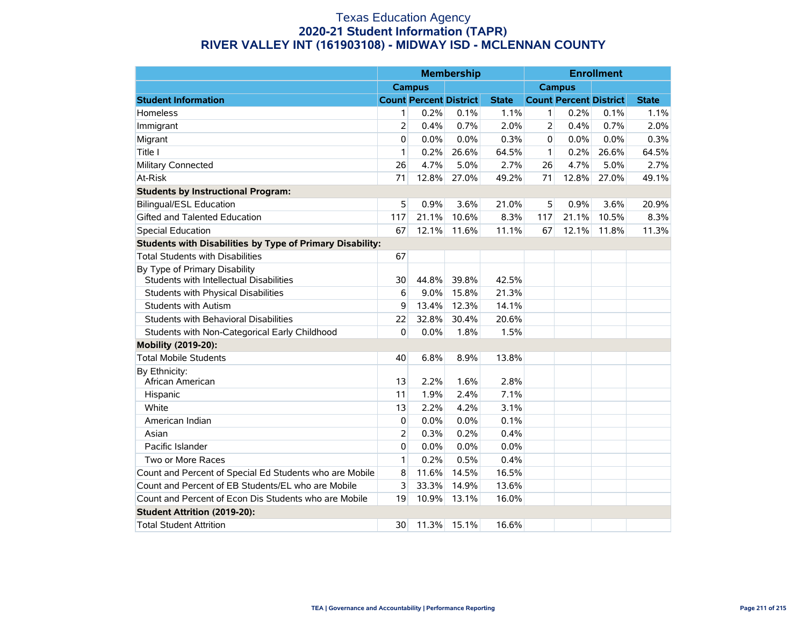## Texas Education Agency **2020-21 Student Information (TAPR) RIVER VALLEY INT (161903108) - MIDWAY ISD - MCLENNAN COUNTY**

|                                                                          |     |                               | <b>Membership</b> |              |     |                               | <b>Enrollment</b> |              |
|--------------------------------------------------------------------------|-----|-------------------------------|-------------------|--------------|-----|-------------------------------|-------------------|--------------|
|                                                                          |     | <b>Campus</b>                 |                   |              |     | <b>Campus</b>                 |                   |              |
| <b>Student Information</b>                                               |     | <b>Count Percent District</b> |                   | <b>State</b> |     | <b>Count Percent District</b> |                   | <b>State</b> |
| <b>Homeless</b>                                                          | 1   | 0.2%                          | 0.1%              | 1.1%         | 1   | 0.2%                          | 0.1%              | 1.1%         |
| Immigrant                                                                | 2   | 0.4%                          | 0.7%              | 2.0%         | 2   | 0.4%                          | 0.7%              | 2.0%         |
| Migrant                                                                  | 0   | 0.0%                          | 0.0%              | 0.3%         | 0   | 0.0%                          | 0.0%              | 0.3%         |
| Title I                                                                  | 1   | 0.2%                          | 26.6%             | 64.5%        | 1   | 0.2%                          | 26.6%             | 64.5%        |
| <b>Military Connected</b>                                                | 26  | 4.7%                          | 5.0%              | 2.7%         | 26  | 4.7%                          | 5.0%              | 2.7%         |
| At-Risk                                                                  | 71  | 12.8%                         | 27.0%             | 49.2%        | 71  | 12.8%                         | 27.0%             | 49.1%        |
| <b>Students by Instructional Program:</b>                                |     |                               |                   |              |     |                               |                   |              |
| <b>Bilingual/ESL Education</b>                                           | 5   | 0.9%                          | 3.6%              | 21.0%        | 5   | 0.9%                          | 3.6%              | 20.9%        |
| Gifted and Talented Education                                            | 117 | 21.1%                         | 10.6%             | 8.3%         | 117 | 21.1%                         | 10.5%             | 8.3%         |
| <b>Special Education</b>                                                 | 67  | 12.1%                         | 11.6%             | 11.1%        | 67  | 12.1%                         | 11.8%             | 11.3%        |
| Students with Disabilities by Type of Primary Disability:                |     |                               |                   |              |     |                               |                   |              |
| <b>Total Students with Disabilities</b>                                  | 67  |                               |                   |              |     |                               |                   |              |
| By Type of Primary Disability<br>Students with Intellectual Disabilities | 30  | 44.8%                         | 39.8%             | 42.5%        |     |                               |                   |              |
| Students with Physical Disabilities                                      | 6   | 9.0%                          | 15.8%             | 21.3%        |     |                               |                   |              |
| <b>Students with Autism</b>                                              | 9   | 13.4%                         | 12.3%             | 14.1%        |     |                               |                   |              |
| Students with Behavioral Disabilities                                    | 22  | 32.8%                         | 30.4%             | 20.6%        |     |                               |                   |              |
| Students with Non-Categorical Early Childhood                            | 0   | 0.0%                          | 1.8%              | 1.5%         |     |                               |                   |              |
| Mobility (2019-20):                                                      |     |                               |                   |              |     |                               |                   |              |
| <b>Total Mobile Students</b>                                             | 40  | 6.8%                          | 8.9%              | 13.8%        |     |                               |                   |              |
| By Ethnicity:<br>African American                                        | 13  | 2.2%                          | 1.6%              | 2.8%         |     |                               |                   |              |
| Hispanic                                                                 | 11  | 1.9%                          | 2.4%              | 7.1%         |     |                               |                   |              |
| White                                                                    | 13  | 2.2%                          | 4.2%              | 3.1%         |     |                               |                   |              |
| American Indian                                                          | 0   | 0.0%                          | 0.0%              | 0.1%         |     |                               |                   |              |
| Asian                                                                    | 2   | 0.3%                          | 0.2%              | 0.4%         |     |                               |                   |              |
| Pacific Islander                                                         | 0   | 0.0%                          | 0.0%              | 0.0%         |     |                               |                   |              |
| Two or More Races                                                        | 1   | 0.2%                          | 0.5%              | 0.4%         |     |                               |                   |              |
| Count and Percent of Special Ed Students who are Mobile                  | 8   | 11.6%                         | 14.5%             | 16.5%        |     |                               |                   |              |
| Count and Percent of EB Students/EL who are Mobile                       | 3   | 33.3%                         | 14.9%             | 13.6%        |     |                               |                   |              |
| Count and Percent of Econ Dis Students who are Mobile                    | 19  | 10.9%                         | 13.1%             | 16.0%        |     |                               |                   |              |
| Student Attrition (2019-20):                                             |     |                               |                   |              |     |                               |                   |              |
| <b>Total Student Attrition</b>                                           | 30  | 11.3%                         | 15.1%             | 16.6%        |     |                               |                   |              |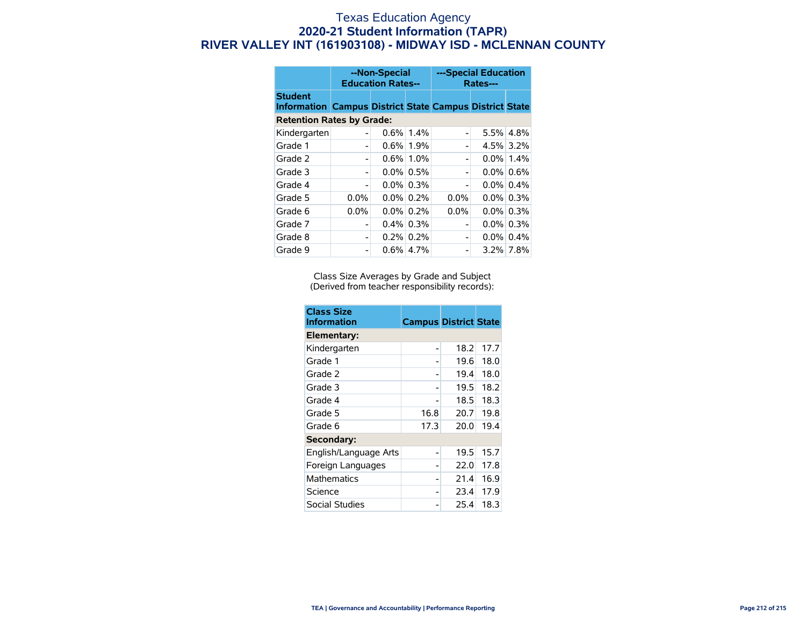### Texas Education Agency **2020-21 Student Information (TAPR) RIVER VALLEY INT (161903108) - MIDWAY ISD - MCLENNAN COUNTY**

|                                                                                  | --Non-Special<br><b>Education Rates--</b> |         | ---Special Education<br>Rates--- |                          |  |              |
|----------------------------------------------------------------------------------|-------------------------------------------|---------|----------------------------------|--------------------------|--|--------------|
| <b>Student</b><br><b>Information Campus District State Campus District State</b> |                                           |         |                                  |                          |  |              |
| <b>Retention Rates by Grade:</b>                                                 |                                           |         |                                  |                          |  |              |
| Kindergarten                                                                     |                                           |         | $0.6\%$ 1.4%                     | -                        |  | 5.5% 4.8%    |
| Grade 1                                                                          |                                           |         | $0.6\%$ 1.9%                     |                          |  | 4.5% 3.2%    |
| Grade 2                                                                          | -                                         | $0.6\%$ | 1.0%                             | -                        |  | $0.0\%$ 1.4% |
| Grade 3                                                                          |                                           |         | $0.0\%$ 0.5%                     |                          |  | $0.0\%$ 0.6% |
| Grade 4                                                                          |                                           |         | $0.0\%$ 0.3%                     |                          |  | $0.0\%$ 0.4% |
| Grade 5                                                                          | $0.0\%$                                   |         | $0.0\%$ 0.2%                     | $0.0\%$                  |  | $0.0\%$ 0.3% |
| Grade 6                                                                          | $0.0\%$                                   |         | $0.0\%$ 0.2%                     | $0.0\%$                  |  | $0.0\%$ 0.3% |
| Grade 7                                                                          |                                           |         | $0.4\%$ 0.3%                     | $\overline{\phantom{0}}$ |  | $0.0\%$ 0.3% |
| Grade 8                                                                          |                                           |         | $0.2\%$ 0.2%                     |                          |  | $0.0\%$ 0.4% |
| Grade 9                                                                          |                                           |         | $0.6\%$ 4.7%                     |                          |  | 3.2% 7.8%    |

Class Size Averages by Grade and Subject (Derived from teacher responsibility records):

| <b>Class Size</b><br><b>Information</b> | <b>Campus District State</b> |      |      |  |  |
|-----------------------------------------|------------------------------|------|------|--|--|
| Elementary:                             |                              |      |      |  |  |
| Kindergarten                            |                              | 18.2 | 17.7 |  |  |
| Grade 1                                 |                              | 19.6 | 18.0 |  |  |
| Grade 2                                 |                              | 19.4 | 18.0 |  |  |
| Grade 3                                 |                              | 19.5 | 18.2 |  |  |
| Grade 4                                 |                              | 18.5 | 18.3 |  |  |
| Grade 5                                 | 16.8                         | 20.7 | 19.8 |  |  |
| Grade 6                                 | 17.3                         | 20.0 | 19.4 |  |  |
| Secondary:                              |                              |      |      |  |  |
| English/Language Arts                   |                              | 19.5 | 15.7 |  |  |
| Foreign Languages                       |                              | 22.0 | 17.8 |  |  |
| <b>Mathematics</b>                      |                              | 21.4 | 16.9 |  |  |
| Science                                 |                              | 23.4 | 17.9 |  |  |
| Social Studies                          |                              | 25.4 | 18.3 |  |  |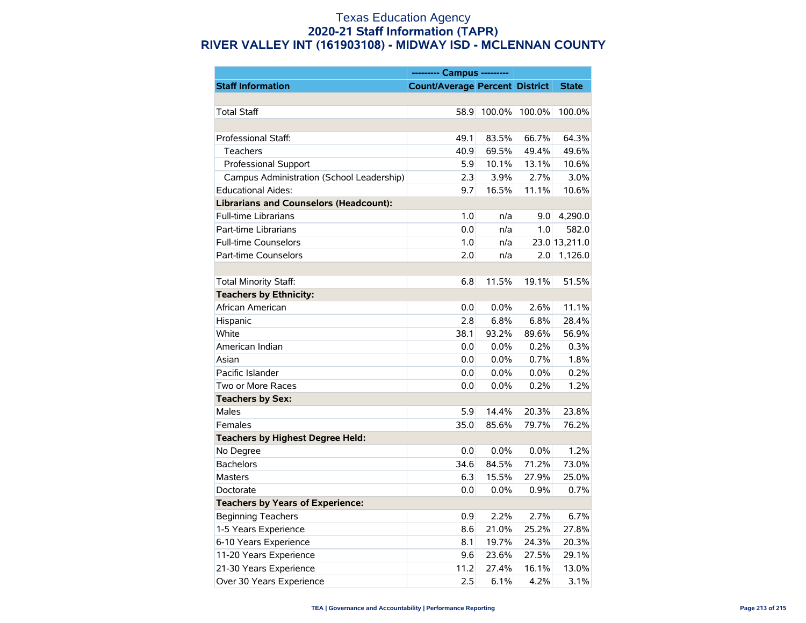## Texas Education Agency **2020-21 Staff Information (TAPR) RIVER VALLEY INT (161903108) - MIDWAY ISD - MCLENNAN COUNTY**

|                                               | --------- Campus ---------            |        |        |               |
|-----------------------------------------------|---------------------------------------|--------|--------|---------------|
| <b>Staff Information</b>                      | <b>Count/Average Percent District</b> |        |        | <b>State</b>  |
|                                               |                                       |        |        |               |
| <b>Total Staff</b>                            | 58.9                                  | 100.0% | 100.0% | 100.0%        |
|                                               |                                       |        |        |               |
| Professional Staff:                           | 49.1                                  | 83.5%  | 66.7%  | 64.3%         |
| <b>Teachers</b>                               | 40.9                                  | 69.5%  | 49.4%  | 49.6%         |
| Professional Support                          | 5.9                                   | 10.1%  | 13.1%  | 10.6%         |
| Campus Administration (School Leadership)     | 2.3                                   | 3.9%   | 2.7%   | 3.0%          |
| <b>Educational Aides:</b>                     | 9.7                                   | 16.5%  | 11.1%  | 10.6%         |
| <b>Librarians and Counselors (Headcount):</b> |                                       |        |        |               |
| <b>Full-time Librarians</b>                   | 1.0                                   | n/a    | 9.0    | 4,290.0       |
| Part-time Librarians                          | 0.0                                   | n/a    | 1.0    | 582.0         |
| <b>Full-time Counselors</b>                   | 1.0                                   | n/a    |        | 23.0 13,211.0 |
| <b>Part-time Counselors</b>                   | 2.0                                   | n/a    | 2.0    | 1,126.0       |
|                                               |                                       |        |        |               |
| <b>Total Minority Staff:</b>                  | 6.8                                   | 11.5%  | 19.1%  | 51.5%         |
| <b>Teachers by Ethnicity:</b>                 |                                       |        |        |               |
| African American                              | 0.0                                   | 0.0%   | 2.6%   | 11.1%         |
| Hispanic                                      | 2.8                                   | 6.8%   | 6.8%   | 28.4%         |
| White                                         | 38.1                                  | 93.2%  | 89.6%  | 56.9%         |
| American Indian                               | 0.0                                   | 0.0%   | 0.2%   | 0.3%          |
| Asian                                         | 0.0                                   | 0.0%   | 0.7%   | 1.8%          |
| Pacific Islander                              | 0.0                                   | 0.0%   | 0.0%   | 0.2%          |
| Two or More Races                             | 0.0                                   | 0.0%   | 0.2%   | 1.2%          |
| <b>Teachers by Sex:</b>                       |                                       |        |        |               |
| Males                                         | 5.9                                   | 14.4%  | 20.3%  | 23.8%         |
| Females                                       | 35.0                                  | 85.6%  | 79.7%  | 76.2%         |
| <b>Teachers by Highest Degree Held:</b>       |                                       |        |        |               |
| No Degree                                     | 0.0                                   | 0.0%   | 0.0%   | 1.2%          |
| <b>Bachelors</b>                              | 34.6                                  | 84.5%  | 71.2%  | 73.0%         |
| <b>Masters</b>                                | 6.3                                   | 15.5%  | 27.9%  | 25.0%         |
| Doctorate                                     | 0.0                                   | 0.0%   | 0.9%   | 0.7%          |
| <b>Teachers by Years of Experience:</b>       |                                       |        |        |               |
| <b>Beginning Teachers</b>                     | 0.9                                   | 2.2%   | 2.7%   | 6.7%          |
| 1-5 Years Experience                          | 8.6                                   | 21.0%  | 25.2%  | 27.8%         |
| 6-10 Years Experience                         | 8.1                                   | 19.7%  | 24.3%  | 20.3%         |
| 11-20 Years Experience                        | 9.6                                   | 23.6%  | 27.5%  | 29.1%         |
| 21-30 Years Experience                        | 11.2                                  | 27.4%  | 16.1%  | 13.0%         |
| Over 30 Years Experience                      | 2.5                                   | 6.1%   | 4.2%   | 3.1%          |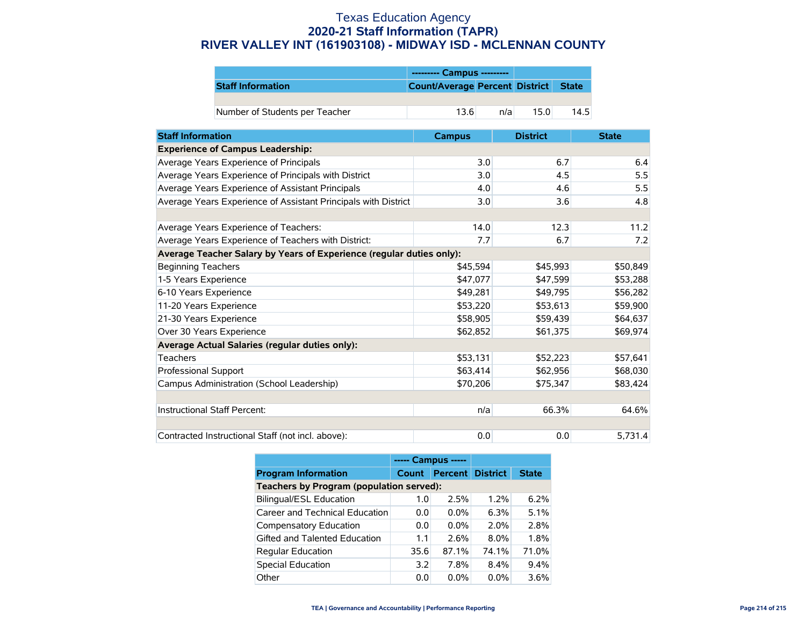## Texas Education Agency **2020-21 Staff Information (TAPR) RIVER VALLEY INT (161903108) - MIDWAY ISD - MCLENNAN COUNTY**

|                                | --------- Campus ---------           |      |  |  |
|--------------------------------|--------------------------------------|------|--|--|
| <b>Staff Information</b>       | Count/Average Percent District State |      |  |  |
|                                |                                      |      |  |  |
| Number of Students per Teacher | 13.6<br>15.0<br>n/a                  | 14.5 |  |  |

| <b>Staff Information</b>                                             | <b>Campus</b> | <b>District</b> | <b>State</b> |  |  |  |
|----------------------------------------------------------------------|---------------|-----------------|--------------|--|--|--|
| <b>Experience of Campus Leadership:</b>                              |               |                 |              |  |  |  |
| Average Years Experience of Principals                               | 3.0           | 6.7             | 6.4          |  |  |  |
| Average Years Experience of Principals with District                 | 3.0           | 4.5             | 5.5          |  |  |  |
| Average Years Experience of Assistant Principals                     | 4.0           | 4.6             | 5.5          |  |  |  |
| Average Years Experience of Assistant Principals with District       | 3.0           | 3.6             | 4.8          |  |  |  |
|                                                                      |               |                 |              |  |  |  |
| Average Years Experience of Teachers:                                | 14.0          | 12.3            | 11.2         |  |  |  |
| Average Years Experience of Teachers with District:                  | 7.7           | 6.7             | 7.2          |  |  |  |
| Average Teacher Salary by Years of Experience (regular duties only): |               |                 |              |  |  |  |
| <b>Beginning Teachers</b>                                            | \$45,594      | \$45,993        | \$50,849     |  |  |  |
| 1-5 Years Experience                                                 | \$47,077      | \$47,599        | \$53,288     |  |  |  |
| 6-10 Years Experience                                                | \$49,281      | \$49,795        | \$56,282     |  |  |  |
| 11-20 Years Experience                                               | \$53,220      | \$53,613        | \$59,900     |  |  |  |
| 21-30 Years Experience                                               | \$58,905      | \$59,439        | \$64,637     |  |  |  |
| Over 30 Years Experience                                             | \$62,852      | \$61,375        | \$69,974     |  |  |  |
| Average Actual Salaries (regular duties only):                       |               |                 |              |  |  |  |
| <b>Teachers</b>                                                      | \$53,131      | \$52,223        | \$57,641     |  |  |  |
| Professional Support                                                 | \$63,414      | \$62,956        | \$68,030     |  |  |  |
| Campus Administration (School Leadership)                            | \$70,206      | \$75,347        | \$83,424     |  |  |  |
|                                                                      |               |                 |              |  |  |  |
| Instructional Staff Percent:                                         | n/a           | 66.3%           | 64.6%        |  |  |  |
|                                                                      |               |                 |              |  |  |  |
| Contracted Instructional Staff (not incl. above):                    | 0.0           | 0.0             | 5,731.4      |  |  |  |

|                                          | ----- Campus ----- |                         |         |              |
|------------------------------------------|--------------------|-------------------------|---------|--------------|
| <b>Program Information</b>               | <b>Count</b>       | <b>Percent District</b> |         | <b>State</b> |
| Teachers by Program (population served): |                    |                         |         |              |
| <b>Bilingual/ESL Education</b>           | 1.0                | 2.5%                    | 1.2%    | 6.2%         |
| Career and Technical Education           | 0.0                | 0.0%                    | 6.3%    | 5.1%         |
| Compensatory Education                   | 0.0                | $0.0\%$                 | 2.0%    | 2.8%         |
| Gifted and Talented Education            | 1.1                | 2.6%                    | $8.0\%$ | 1.8%         |
| <b>Regular Education</b>                 | 35.6               | 87.1%                   | 74.1%   | 71.0%        |
| <b>Special Education</b>                 | 3.2                | 7.8%                    | $8.4\%$ | 9.4%         |
| Other                                    | 0.0                | $0.0\%$                 | $0.0\%$ | 3.6%         |